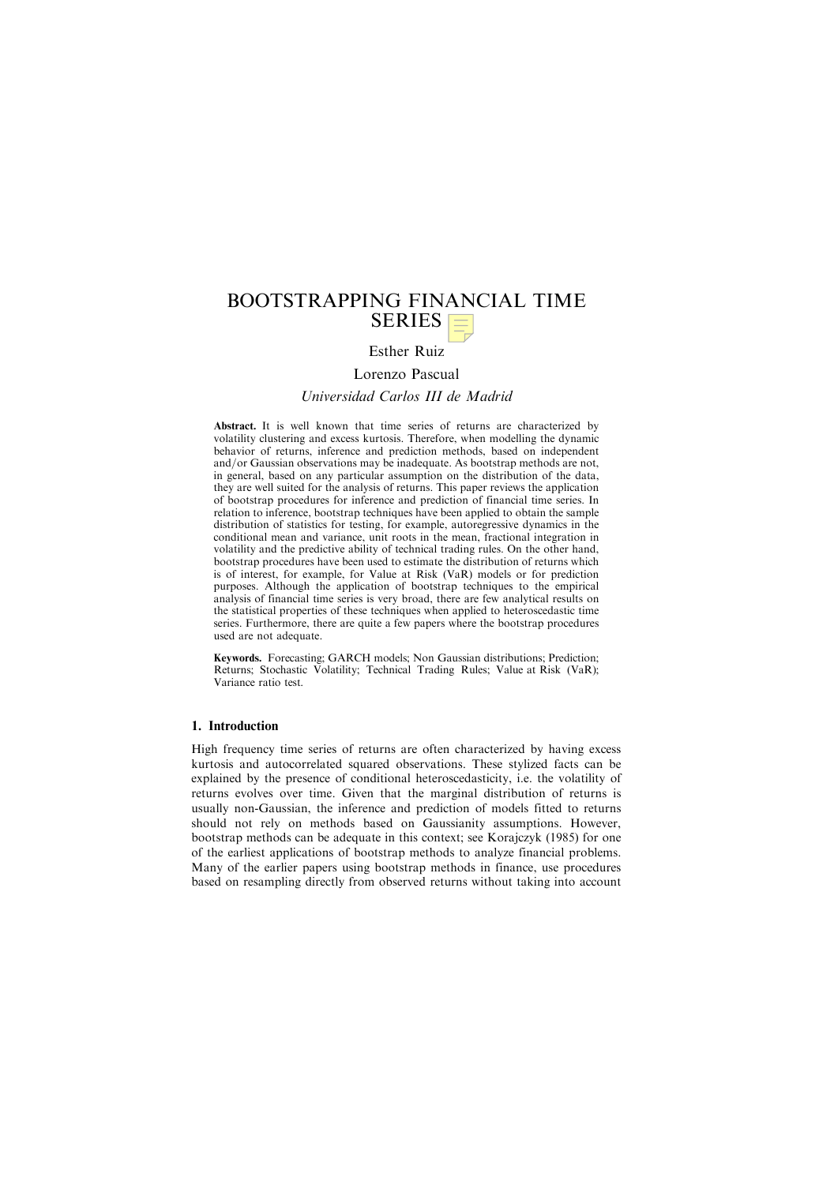# BOOTSTRAPPING FINANCIAL TIME  $SERIES \equiv$

## Esther Ruiz

Lorenzo Pascual Universidad Carlos III de Madrid

Abstract. It is well known that time series of returns are characterized by volatility clustering and excess kurtosis. Therefore, when modelling the dynamic behavior of returns, inference and prediction methods, based on independent and/or Gaussian observations may be inadequate. As bootstrap methods are not, in general, based on any particular assumption on the distribution of the data, they are well suited for the analysis of returns. This paper reviews the application of bootstrap procedures for inference and prediction of financial time series. In relation to inference, bootstrap techniques have been applied to obtain the sample distribution of statistics for testing, for example, autoregressive dynamics in the conditional mean and variance, unit roots in the mean, fractional integration in volatility and the predictive ability of technical trading rules. On the other hand, bootstrap procedures have been used to estimate the distribution of returns which is of interest, for example, for Value at Risk (VaR) models or for prediction purposes. Although the application of bootstrap techniques to the empirical analysis of financial time series is very broad, there are few analytical results on the statistical properties of these techniques when applied to heteroscedastic time series. Furthermore, there are quite a few papers where the bootstrap procedures used are not adequate.

Keywords. Forecasting; GARCH models; Non Gaussian distributions; Prediction; Returns; Stochastic Volatility; Technical Trading Rules; Value at Risk (VaR); Variance ratio test.

## 1. Introduction

High frequency time series of returns are often characterized by having excess kurtosis and autocorrelated squared observations. These stylized facts can be explained by the presence of conditional heteroscedasticity, i.e. the volatility of returns evolves over time. Given that the marginal distribution of returns is usually non-Gaussian, the inference and prediction of models fitted to returns should not rely on methods based on Gaussianity assumptions. However, bootstrap methods can be adequate in this context; see Korajczyk (1985) for one of the earliest applications of bootstrap methods to analyze financial problems. Many of the earlier papers using bootstrap methods in finance, use procedures based on resampling directly from observed returns without taking into account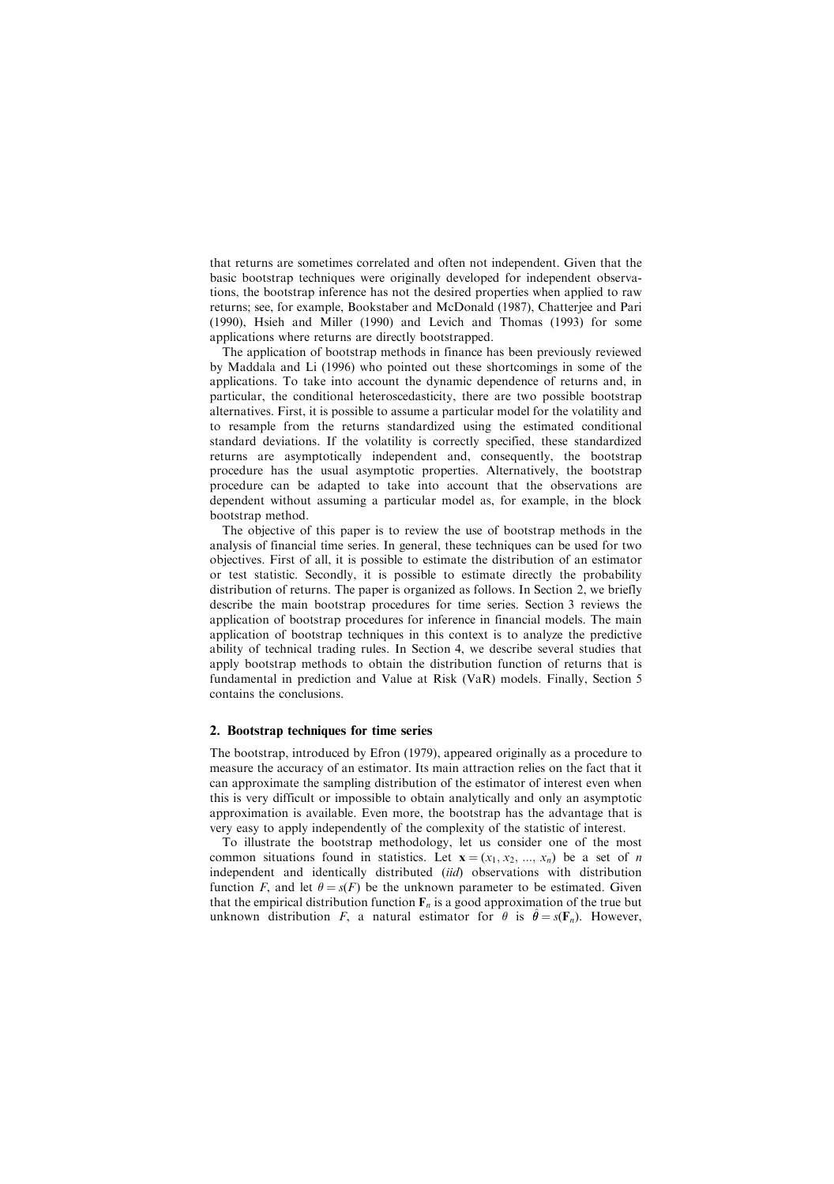that returns are sometimes correlated and often not independent. Given that the basic bootstrap techniques were originally developed for independent observations, the bootstrap inference has not the desired properties when applied to raw returns; see, for example, Bookstaber and McDonald (1987), Chatterjee and Pari (1990), Hsieh and Miller (1990) and Levich and Thomas (1993) for some applications where returns are directly bootstrapped.

The application of bootstrap methods in finance has been previously reviewed by Maddala and Li (1996) who pointed out these shortcomings in some of the applications. To take into account the dynamic dependence of returns and, in particular, the conditional heteroscedasticity, there are two possible bootstrap alternatives. First, it is possible to assume a particular model for the volatility and to resample from the returns standardized using the estimated conditional standard deviations. If the volatility is correctly specified, these standardized returns are asymptotically independent and, consequently, the bootstrap procedure has the usual asymptotic properties. Alternatively, the bootstrap procedure can be adapted to take into account that the observations are dependent without assuming a particular model as, for example, in the block bootstrap method.

The objective of this paper is to review the use of bootstrap methods in the analysis of financial time series. In general, these techniques can be used for two objectives. First of all, it is possible to estimate the distribution of an estimator or test statistic. Secondly, it is possible to estimate directly the probability distribution of returns. The paper is organized as follows. In Section 2, we briefly describe the main bootstrap procedures for time series. Section 3 reviews the application of bootstrap procedures for inference in financial models. The main application of bootstrap techniques in this context is to analyze the predictive ability of technical trading rules. In Section 4, we describe several studies that apply bootstrap methods to obtain the distribution function of returns that is fundamental in prediction and Value at Risk (VaR) models. Finally, Section 5 contains the conclusions.

## 2. Bootstrap techniques for time series

The bootstrap, introduced by Efron (1979), appeared originally as a procedure to measure the accuracy of an estimator. Its main attraction relies on the fact that it can approximate the sampling distribution of the estimator of interest even when this is very difficult or impossible to obtain analytically and only an asymptotic approximation is available. Even more, the bootstrap has the advantage that is very easy to apply independently of the complexity of the statistic of interest.

To illustrate the bootstrap methodology, let us consider one of the most common situations found in statistics. Let  $\mathbf{x} = (x_1, x_2, ..., x_n)$  be a set of n independent and identically distributed *(iid)* observations with distribution function F, and let  $\theta = s(F)$  be the unknown parameter to be estimated. Given that the empirical distribution function  $\mathbf{F}_n$  is a good approximation of the true but unknown distribution F, a natural estimator for  $\theta$  is  $\hat{\theta} = s(F_n)$ . However,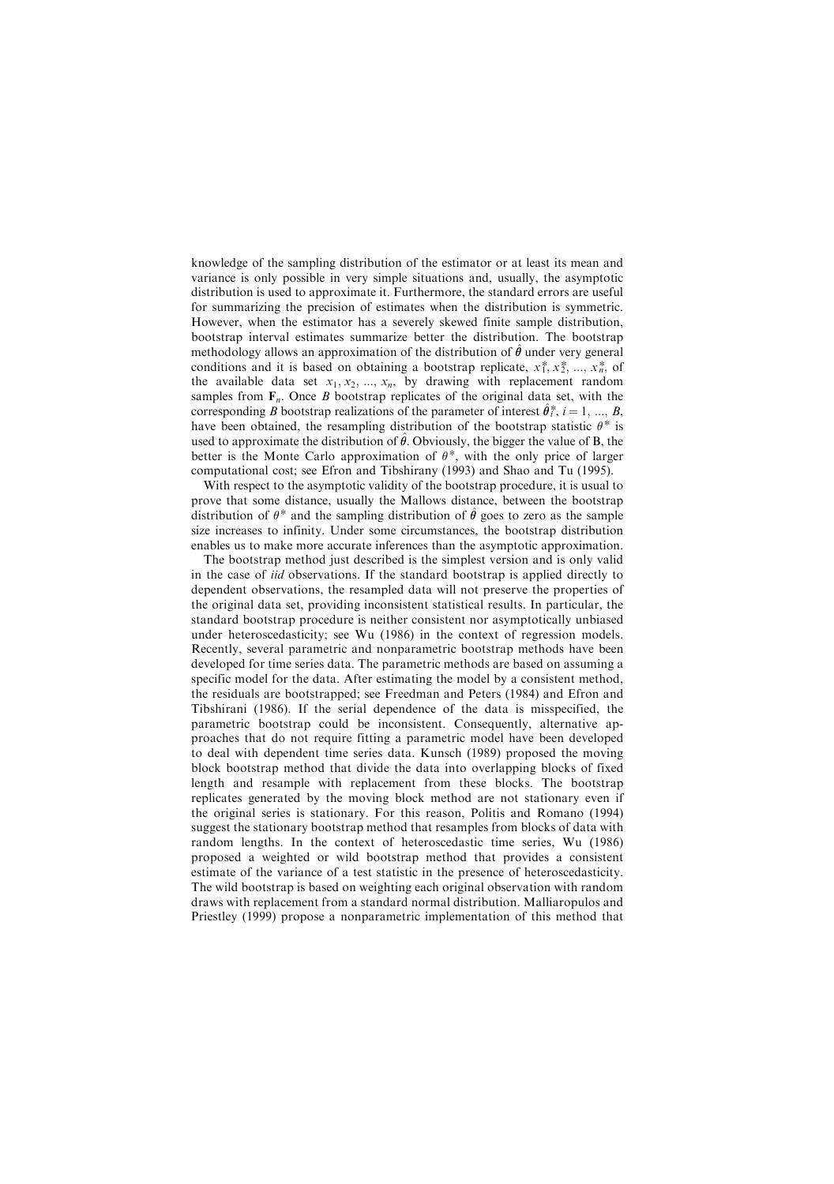knowledge of the sampling distribution of the estimator or at least its mean and variance is only possible in very simple situations and, usually, the asymptotic distribution is used to approximate it. Furthermore, the standard errors are useful for summarizing the precision of estimates when the distribution is symmetric. However, when the estimator has a severely skewed finite sample distribution, bootstrap interval estimates summarize better the distribution. The bootstrap methodology allows an approximation of the distribution of  $\hat{\theta}$  under very general conditions and it is based on obtaining a bootstrap replicate,  $x_1^*, x_2^*, ..., x_n^*$ , of conditions and it is based on obtaining a bootstrap replicate,  $x_1^*, x_2^*, ..., x_n^*$ , of the available data set  $x_1, x_2, ..., x_n$ , by drawing with replacement random samples from  $F_n$ . Once *B* bootstrap replicates of the original data set, with the corresponding B bootstrap realizations of the parameter of interest  $\hat{\theta}^*_i$ ,  $i = 1, ..., B$ , have been obtained, the resampling distribution of the bootstrap statistic  $\theta^*$  is used to approximate the distribution of  $\hat{\theta}$ . Obviously, the bigger the value of B, the better is the Monte Carlo approximation of  $\theta^*$ , with the only price of larger computational cost; see Efron and Tibshirany (1993) and Shao and Tu (1995).

With respect to the asymptotic validity of the bootstrap procedure, it is usual to prove that some distance, usually the Mallows distance, between the bootstrap distribution of  $\theta^*$  and the sampling distribution of  $\hat{\theta}$  goes to zero as the sample size increases to infinity. Under some circumstances, the bootstrap distribution enables us to make more accurate inferences than the asymptotic approximation.

The bootstrap method just described is the simplest version and is only valid in the case of iid observations. If the standard bootstrap is applied directly to dependent observations, the resampled data will not preserve the properties of the original data set, providing inconsistent statistical results. In particular, the standard bootstrap procedure is neither consistent nor asymptotically unbiased under heteroscedasticity; see Wu (1986) in the context of regression models. Recently, several parametric and nonparametric bootstrap methods have been developed for time series data. The parametric methods are based on assuming a specific model for the data. After estimating the model by a consistent method, the residuals are bootstrapped; see Freedman and Peters (1984) and Efron and Tibshirani (1986). If the serial dependence of the data is misspecified, the parametric bootstrap could be inconsistent. Consequently, alternative approaches that do not require fitting a parametric model have been developed to deal with dependent time series data. Kunsch (1989) proposed the moving block bootstrap method that divide the data into overlapping blocks of fixed length and resample with replacement from these blocks. The bootstrap replicates generated by the moving block method are not stationary even if the original series is stationary. For this reason, Politis and Romano (1994) suggest the stationary bootstrap method that resamples from blocks of data with random lengths. In the context of heteroscedastic time series, Wu (1986) proposed a weighted or wild bootstrap method that provides a consistent estimate of the variance of a test statistic in the presence of heteroscedasticity. The wild bootstrap is based on weighting each original observation with random draws with replacement from a standard normal distribution. Malliaropulos and Priestley (1999) propose a nonparametric implementation of this method that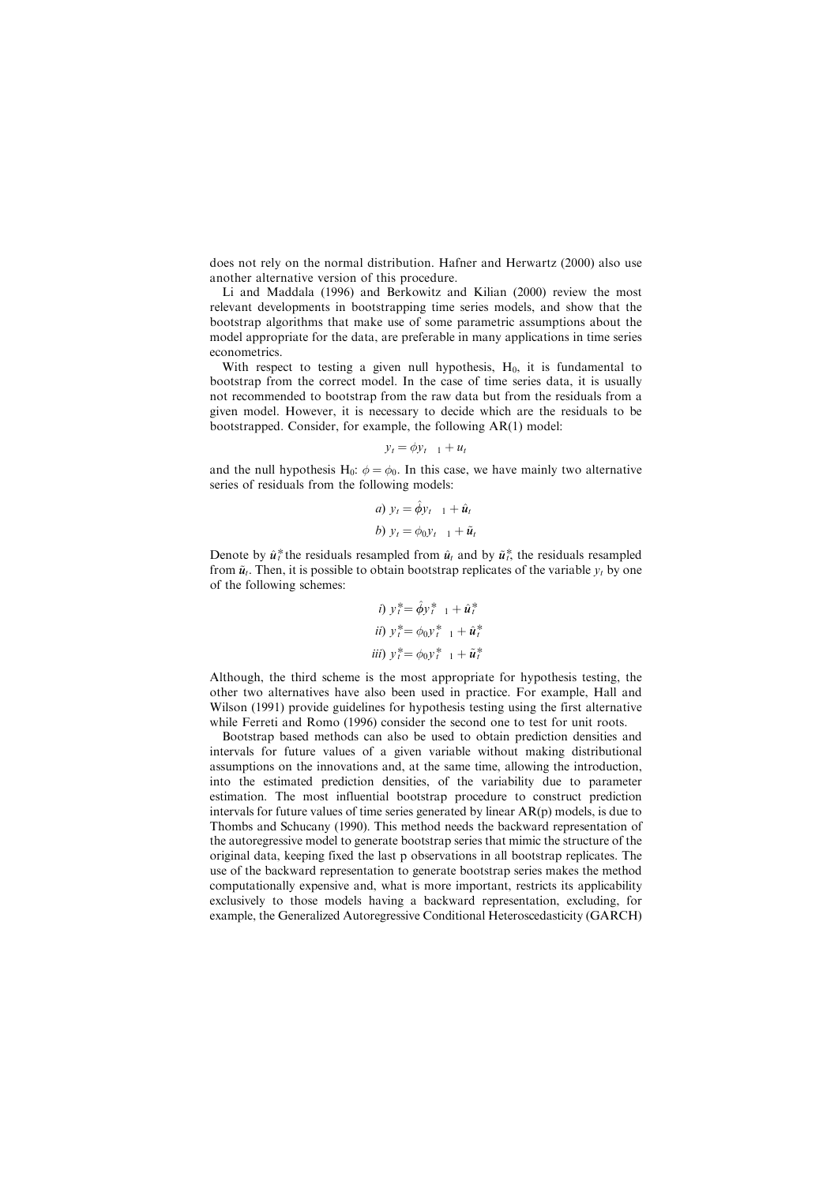does not rely on the normal distribution. Hafner and Herwartz (2000) also use another alternative version of this procedure.

Li and Maddala (1996) and Berkowitz and Kilian (2000) review the most relevant developments in bootstrapping time series models, and show that the bootstrap algorithms that make use of some parametric assumptions about the model appropriate for the data, are preferable in many applications in time series econometrics.

With respect to testing a given null hypothesis,  $H_0$ , it is fundamental to bootstrap from the correct model. In the case of time series data, it is usually not recommended to bootstrap from the raw data but from the residuals from a given model. However, it is necessary to decide which are the residuals to be bootstrapped. Consider, for example, the following AR(1) model:

$$
y_t = \phi y_{t-1} + u_t
$$

and the null hypothesis H<sub>0</sub>:  $\phi = \phi_0$ . In this case, we have mainly two alternative series of residuals from the following models:

a) 
$$
y_t = \hat{\phi} y_{t-1} + \hat{u}_t
$$
  
b)  $y_t = \phi_0 y_{t-1} + \tilde{u}_t$ 

Denote by  $\hat{u}^*_t$  the residuals resampled from  $\hat{u}_t$  and by  $\tilde{u}^*_t$ , the residuals resampled from  $\tilde{u}_t$ . Then, it is possible to obtain bootstrap replicates of the variable  $y_t$  by one of the following schemes:

*i)* 
$$
y_i^* = \hat{\phi} y_i^* + 1 + \hat{u}_i^*
$$
  
\n*ii)*  $y_i^* = \phi_0 y_{i-1}^* + \hat{u}_i^*$   
\n*iii)*  $y_i^* = \phi_0 y_i^* + 1 + \tilde{u}_i^*$ 

Although, the third scheme is the most appropriate for hypothesis testing, the other two alternatives have also been used in practice. For example, Hall and Wilson (1991) provide guidelines for hypothesis testing using the first alternative while Ferreti and Romo (1996) consider the second one to test for unit roots.

Bootstrap based methods can also be used to obtain prediction densities and intervals for future values of a given variable without making distributional assumptions on the innovations and, at the same time, allowing the introduction, into the estimated prediction densities, of the variability due to parameter estimation. The most influential bootstrap procedure to construct prediction intervals for future values of time series generated by linear AR(p) models, is due to Thombs and Schucany (1990). This method needs the backward representation of the autoregressive model to generate bootstrap series that mimic the structure of the original data, keeping fixed the last p observations in all bootstrap replicates. The use of the backward representation to generate bootstrap series makes the method computationally expensive and, what is more important, restricts its applicability exclusively to those models having a backward representation, excluding, for example, the Generalized Autoregressive Conditional Heteroscedasticity (GARCH)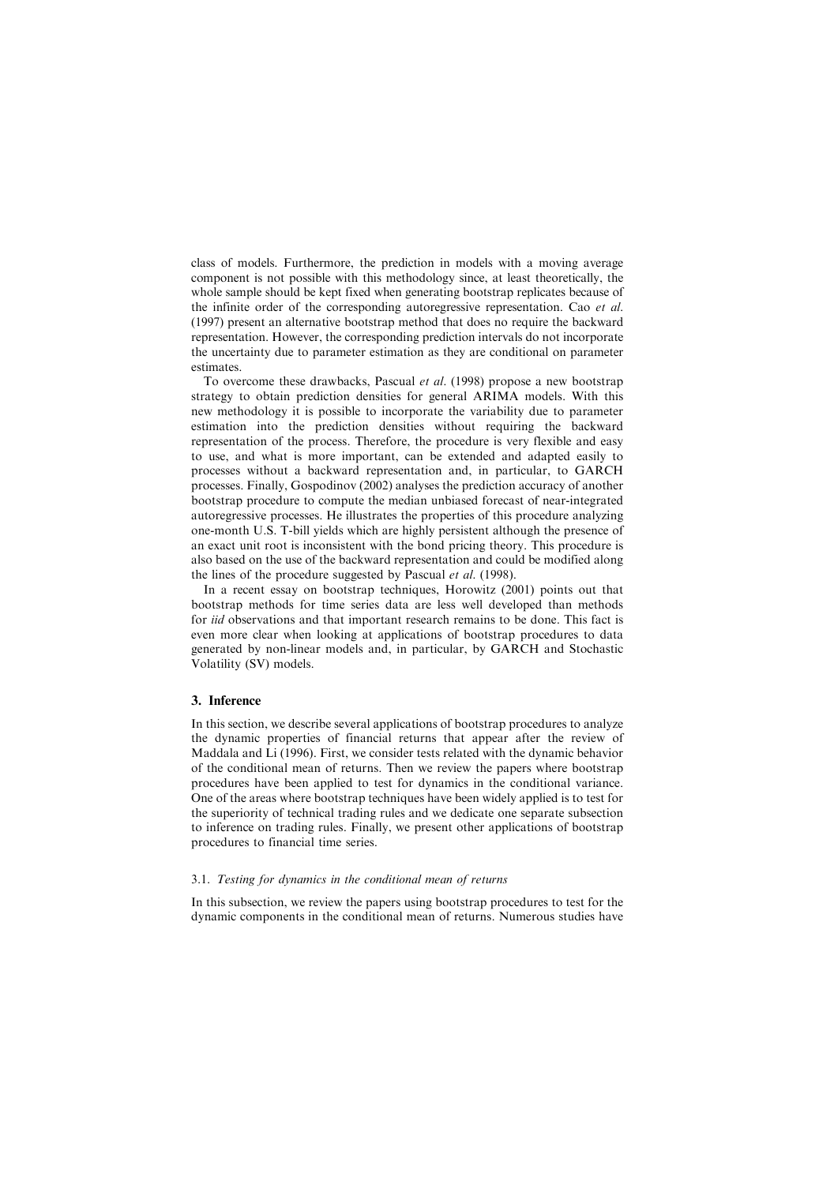class of models. Furthermore, the prediction in models with a moving average component is not possible with this methodology since, at least theoretically, the whole sample should be kept fixed when generating bootstrap replicates because of the infinite order of the corresponding autoregressive representation. Cao *et al.* (1997) present an alternative bootstrap method that does no require the backward representation. However, the corresponding prediction intervals do not incorporate the uncertainty due to parameter estimation as they are conditional on parameter estimates.

To overcome these drawbacks, Pascual et al. (1998) propose a new bootstrap strategy to obtain prediction densities for general ARIMA models. With this new methodology it is possible to incorporate the variability due to parameter estimation into the prediction densities without requiring the backward representation of the process. Therefore, the procedure is very flexible and easy to use, and what is more important, can be extended and adapted easily to processes without a backward representation and, in particular, to GARCH processes. Finally, Gospodinov (2002) analyses the prediction accuracy of another bootstrap procedure to compute the median unbiased forecast of near-integrated autoregressive processes. He illustrates the properties of this procedure analyzing one-month U.S. T-bill yields which are highly persistent although the presence of an exact unit root is inconsistent with the bond pricing theory. This procedure is also based on the use of the backward representation and could be modified along the lines of the procedure suggested by Pascual et al. (1998).

In a recent essay on bootstrap techniques, Horowitz (2001) points out that bootstrap methods for time series data are less well developed than methods for *iid* observations and that important research remains to be done. This fact is even more clear when looking at applications of bootstrap procedures to data generated by non-linear models and, in particular, by GARCH and Stochastic Volatility (SV) models.

#### 3. Inference

In this section, we describe several applications of bootstrap procedures to analyze the dynamic properties of financial returns that appear after the review of Maddala and Li (1996). First, we consider tests related with the dynamic behavior of the conditional mean of returns. Then we review the papers where bootstrap procedures have been applied to test for dynamics in the conditional variance. One of the areas where bootstrap techniques have been widely applied is to test for the superiority of technical trading rules and we dedicate one separate subsection to inference on trading rules. Finally, we present other applications of bootstrap procedures to financial time series.

#### 3.1. Testing for dynamics in the conditional mean of returns

In this subsection, we review the papers using bootstrap procedures to test for the dynamic components in the conditional mean of returns. Numerous studies have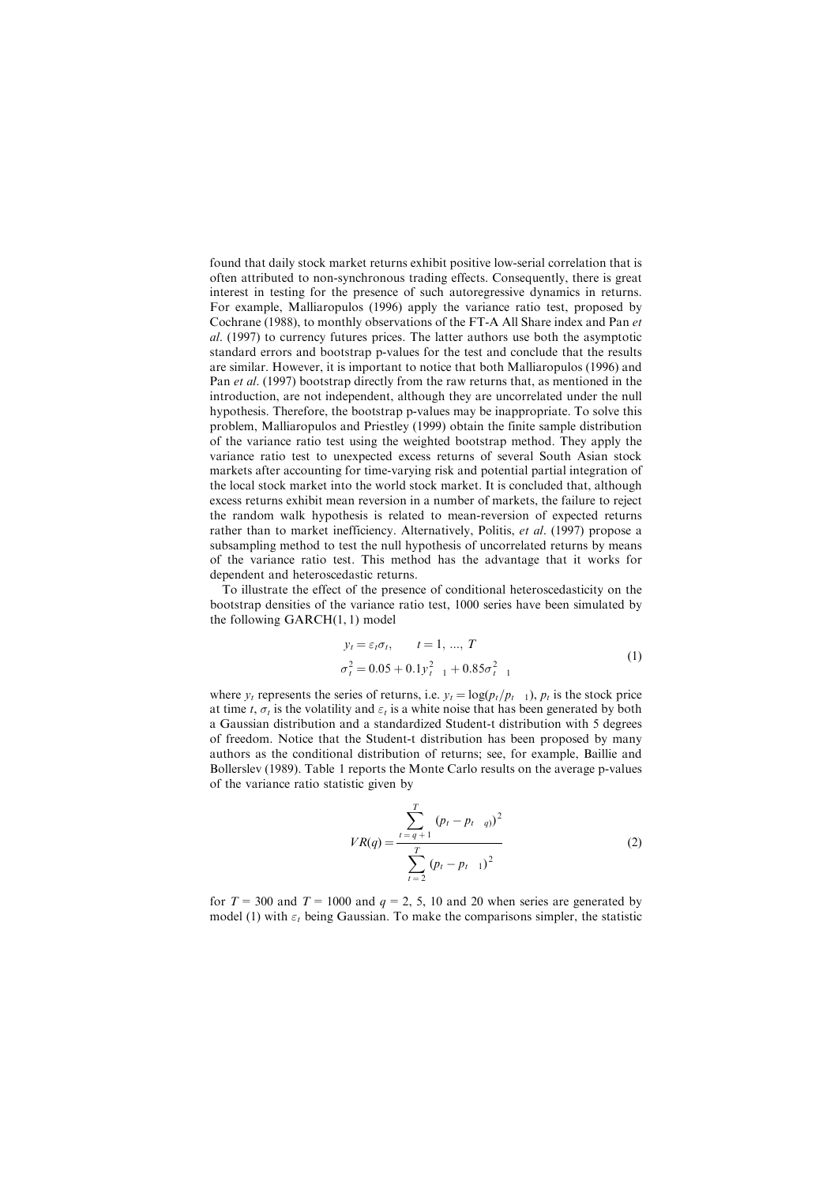found that daily stock market returns exhibit positive low-serial correlation that is often attributed to non-synchronous trading effects. Consequently, there is great interest in testing for the presence of such autoregressive dynamics in returns. For example, Malliaropulos (1996) apply the variance ratio test, proposed by Cochrane (1988), to monthly observations of the FT-A All Share index and Pan et al. (1997) to currency futures prices. The latter authors use both the asymptotic standard errors and bootstrap p-values for the test and conclude that the results are similar. However, it is important to notice that both Malliaropulos (1996) and Pan *et al.* (1997) bootstrap directly from the raw returns that, as mentioned in the introduction, are not independent, although they are uncorrelated under the null hypothesis. Therefore, the bootstrap p-values may be inappropriate. To solve this problem, Malliaropulos and Priestley (1999) obtain the finite sample distribution of the variance ratio test using the weighted bootstrap method. They apply the variance ratio test to unexpected excess returns of several South Asian stock markets after accounting for time-varying risk and potential partial integration of the local stock market into the world stock market. It is concluded that, although excess returns exhibit mean reversion in a number of markets, the failure to reject the random walk hypothesis is related to mean-reversion of expected returns rather than to market inefficiency. Alternatively, Politis, *et al.* (1997) propose a subsampling method to test the null hypothesis of uncorrelated returns by means of the variance ratio test. This method has the advantage that it works for dependent and heteroscedastic returns.

To illustrate the effect of the presence of conditional heteroscedasticity on the bootstrap densities of the variance ratio test, 1000 series have been simulated by the following GARCH(1, 1) model

$$
y_t = \varepsilon_t \sigma_t, \qquad t = 1, ..., T
$$
  
\n
$$
\sigma_t^2 = 0.05 + 0.1 y_{t-1}^2 + 0.85 \sigma_{t-1}^2
$$
\n(1)

where  $y_t$  represents the series of returns, i.e.  $y_t = \log(p_t / p_{t-1})$ ,  $p_t$  is the stock price at time t,  $\sigma_t$  is the volatility and  $\varepsilon_t$  is a white noise that has been generated by both a Gaussian distribution and a standardized Student-t distribution with 5 degrees of freedom. Notice that the Student-t distribution has been proposed by many authors as the conditional distribution of returns; see, for example, Baillie and Bollerslev (1989). Table 1 reports the Monte Carlo results on the average p-values of the variance ratio statistic given by

$$
VR(q) = \frac{\sum_{t=q+1}^{T} (p_t - p_{t-q})^2}{\sum_{t=2}^{T} (p_t - p_{t-1})^2}
$$
 (2)

for  $T = 300$  and  $T = 1000$  and  $q = 2, 5, 10$  and 20 when series are generated by model (1) with  $\varepsilon_t$  being Gaussian. To make the comparisons simpler, the statistic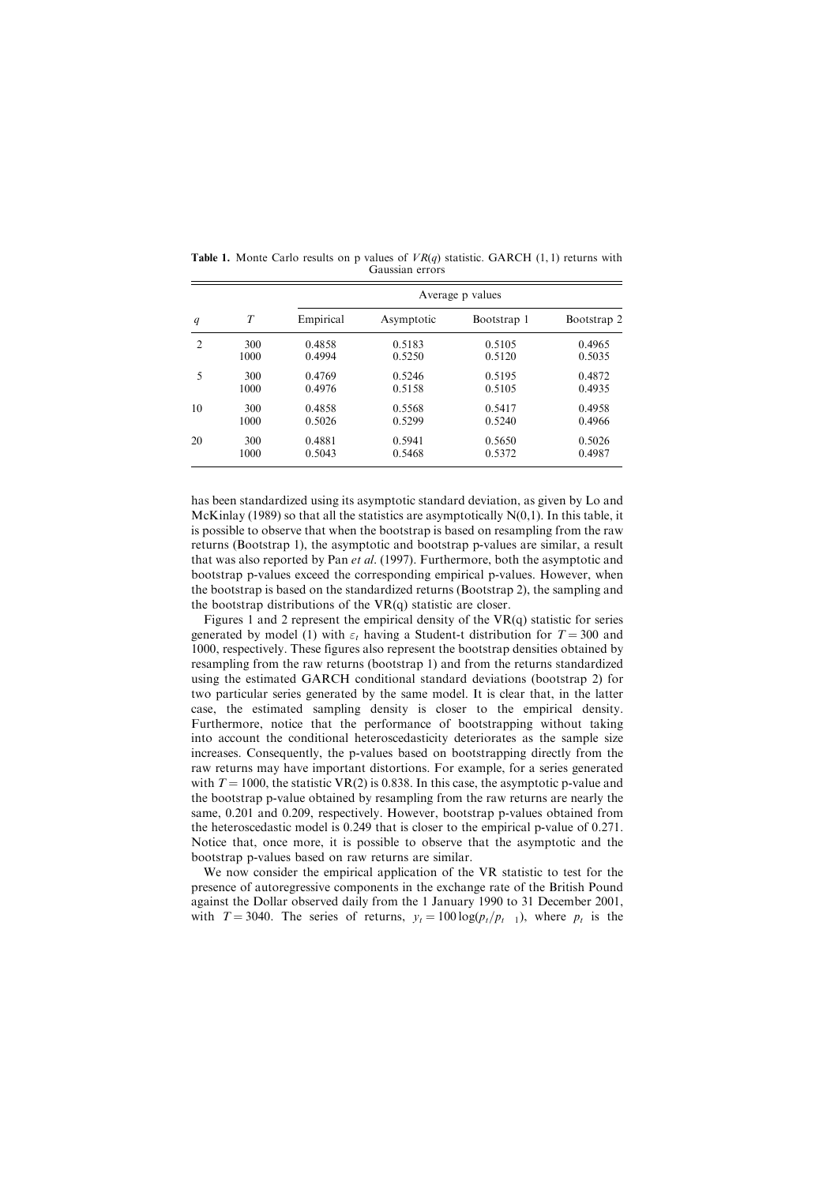|                |      | Average p values |            |             |             |  |  |  |
|----------------|------|------------------|------------|-------------|-------------|--|--|--|
| q              | T    | Empirical        | Asymptotic | Bootstrap 1 | Bootstrap 2 |  |  |  |
| $\overline{c}$ | 300  | 0.4858           | 0.5183     | 0.5105      | 0.4965      |  |  |  |
|                | 1000 | 0.4994           | 0.5250     | 0.5120      | 0.5035      |  |  |  |
| 5              | 300  | 0.4769           | 0.5246     | 0.5195      | 0.4872      |  |  |  |
|                | 1000 | 0.4976           | 0.5158     | 0.5105      | 0.4935      |  |  |  |
| 10             | 300  | 0.4858           | 0.5568     | 0.5417      | 0.4958      |  |  |  |
|                | 1000 | 0.5026           | 0.5299     | 0.5240      | 0.4966      |  |  |  |
| 20             | 300  | 0.4881           | 0.5941     | 0.5650      | 0.5026      |  |  |  |
|                | 1000 | 0.5043           | 0.5468     | 0.5372      | 0.4987      |  |  |  |

**Table 1.** Monte Carlo results on p values of  $VR(q)$  statistic. GARCH (1, 1) returns with Gaussian errors

has been standardized using its asymptotic standard deviation, as given by Lo and McKinlay (1989) so that all the statistics are asymptotically  $N(0,1)$ . In this table, it is possible to observe that when the bootstrap is based on resampling from the raw returns (Bootstrap 1), the asymptotic and bootstrap p-values are similar, a result that was also reported by Pan et al. (1997). Furthermore, both the asymptotic and bootstrap p-values exceed the corresponding empirical p-values. However, when the bootstrap is based on the standardized returns (Bootstrap 2), the sampling and the bootstrap distributions of the VR(q) statistic are closer.

Figures 1 and 2 represent the empirical density of the  $VR(q)$  statistic for series generated by model (1) with  $\varepsilon_t$  having a Student-t distribution for  $T = 300$  and 1000, respectively. These figures also represent the bootstrap densities obtained by resampling from the raw returns (bootstrap 1) and from the returns standardized using the estimated GARCH conditional standard deviations (bootstrap 2) for two particular series generated by the same model. It is clear that, in the latter case, the estimated sampling density is closer to the empirical density. Furthermore, notice that the performance of bootstrapping without taking into account the conditional heteroscedasticity deteriorates as the sample size increases. Consequently, the p-values based on bootstrapping directly from the raw returns may have important distortions. For example, for a series generated with  $T = 1000$ , the statistic VR(2) is 0.838. In this case, the asymptotic p-value and the bootstrap p-value obtained by resampling from the raw returns are nearly the same, 0.201 and 0.209, respectively. However, bootstrap p-values obtained from the heteroscedastic model is 0.249 that is closer to the empirical p-value of 0.271. Notice that, once more, it is possible to observe that the asymptotic and the bootstrap p-values based on raw returns are similar.

We now consider the empirical application of the VR statistic to test for the presence of autoregressive components in the exchange rate of the British Pound against the Dollar observed daily from the 1 January 1990 to 31 December 2001, with  $T = 3040$ . The series of returns,  $y_t = 100 \log(p_t/p_{t-1})$ , where  $p_t$  is the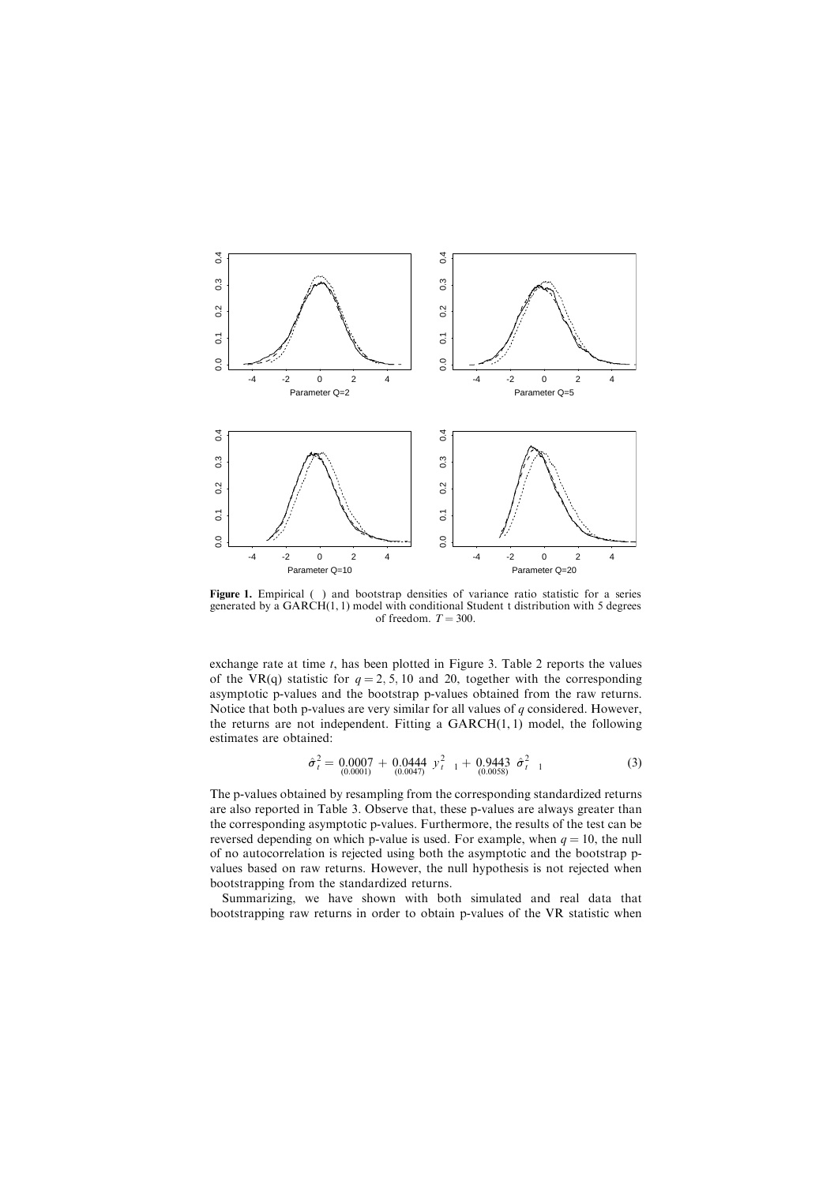

Figure 1. Empirical () and bootstrap densities of variance ratio statistic for a series generated by a GARCH(1, 1) model with conditional Student t distribution with 5 degrees of freedom.  $T = 300$ .

exchange rate at time  $t$ , has been plotted in Figure 3. Table 2 reports the values of the VR(q) statistic for  $q = 2, 5, 10$  and 20, together with the corresponding asymptotic p-values and the bootstrap p-values obtained from the raw returns. Notice that both p-values are very similar for all values of  $q$  considered. However, the returns are not independent. Fitting a  $GARCH(1, 1)$  model, the following estimates are obtained:

$$
\hat{\sigma}_t^2 = 0.0007 + 0.0444 y_{t-1}^2 + 0.9443 \hat{\sigma}_{t-1}^2
$$
\n(3)

The p-values obtained by resampling from the corresponding standardized returns are also reported in Table 3. Observe that, these p-values are always greater than the corresponding asymptotic p-values. Furthermore, the results of the test can be reversed depending on which p-value is used. For example, when  $q = 10$ , the null of no autocorrelation is rejected using both the asymptotic and the bootstrap pvalues based on raw returns. However, the null hypothesis is not rejected when bootstrapping from the standardized returns.

Summarizing, we have shown with both simulated and real data that bootstrapping raw returns in order to obtain p-values of the VR statistic when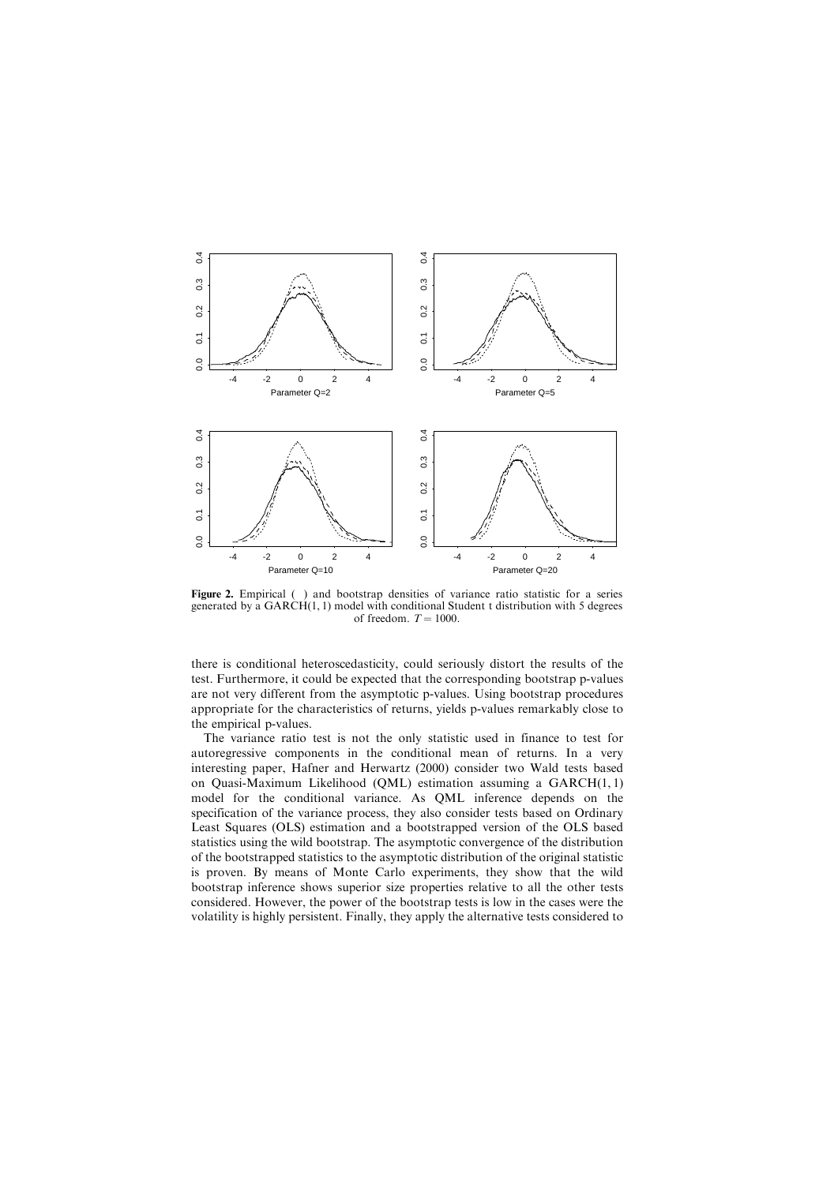

Figure 2. Empirical () and bootstrap densities of variance ratio statistic for a series generated by a GARCH(1, 1) model with conditional Student t distribution with 5 degrees of freedom.  $T = 1000$ .

there is conditional heteroscedasticity, could seriously distort the results of the test. Furthermore, it could be expected that the corresponding bootstrap p-values are not very different from the asymptotic p-values. Using bootstrap procedures appropriate for the characteristics of returns, yields p-values remarkably close to the empirical p-values.

The variance ratio test is not the only statistic used in finance to test for autoregressive components in the conditional mean of returns. In a very interesting paper, Hafner and Herwartz (2000) consider two Wald tests based on Quasi-Maximum Likelihood (QML) estimation assuming a GARCH(1, 1) model for the conditional variance. As QML inference depends on the specification of the variance process, they also consider tests based on Ordinary Least Squares (OLS) estimation and a bootstrapped version of the OLS based statistics using the wild bootstrap. The asymptotic convergence of the distribution of the bootstrapped statistics to the asymptotic distribution of the original statistic is proven. By means of Monte Carlo experiments, they show that the wild bootstrap inference shows superior size properties relative to all the other tests considered. However, the power of the bootstrap tests is low in the cases were the volatility is highly persistent. Finally, they apply the alternative tests considered to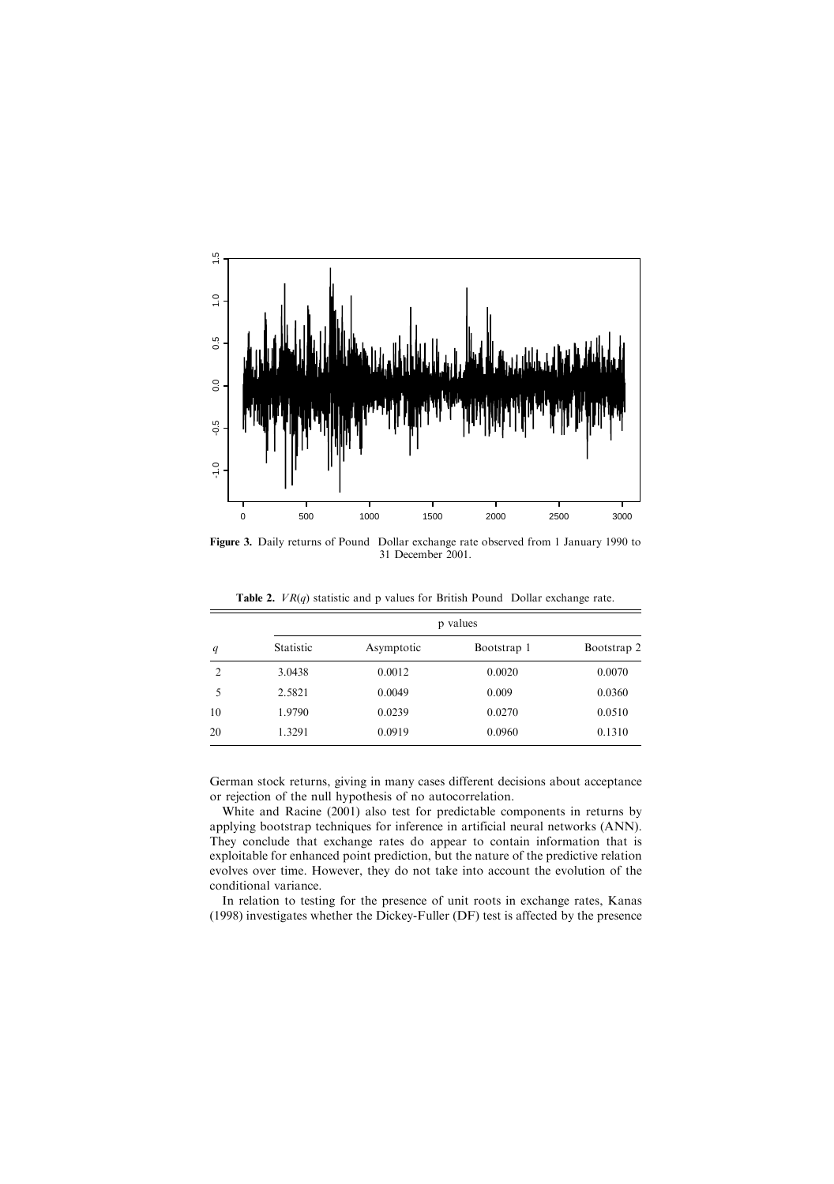

Figure 3. Daily returns of Pound Dollar exchange rate observed from 1 January 1990 to 31 December 2001.

| q              | p values  |            |             |             |  |  |  |
|----------------|-----------|------------|-------------|-------------|--|--|--|
|                | Statistic | Asymptotic | Bootstrap 1 | Bootstrap 2 |  |  |  |
| $\mathfrak{D}$ | 3.0438    | 0.0012     | 0.0020      | 0.0070      |  |  |  |
| 5              | 2.5821    | 0.0049     | 0.009       | 0.0360      |  |  |  |
| 10             | 1.9790    | 0.0239     | 0.0270      | 0.0510      |  |  |  |
| 20             | 1.3291    | 0.0919     | 0.0960      | 0.1310      |  |  |  |
|                |           |            |             |             |  |  |  |

**Table 2.**  $VR(q)$  statistic and p values for British Pound Dollar exchange rate.

German stock returns, giving in many cases different decisions about acceptance or rejection of the null hypothesis of no autocorrelation.

White and Racine (2001) also test for predictable components in returns by applying bootstrap techniques for inference in artificial neural networks (ANN). They conclude that exchange rates do appear to contain information that is exploitable for enhanced point prediction, but the nature of the predictive relation evolves over time. However, they do not take into account the evolution of the conditional variance.

In relation to testing for the presence of unit roots in exchange rates, Kanas (1998) investigates whether the Dickey-Fuller (DF) test is affected by the presence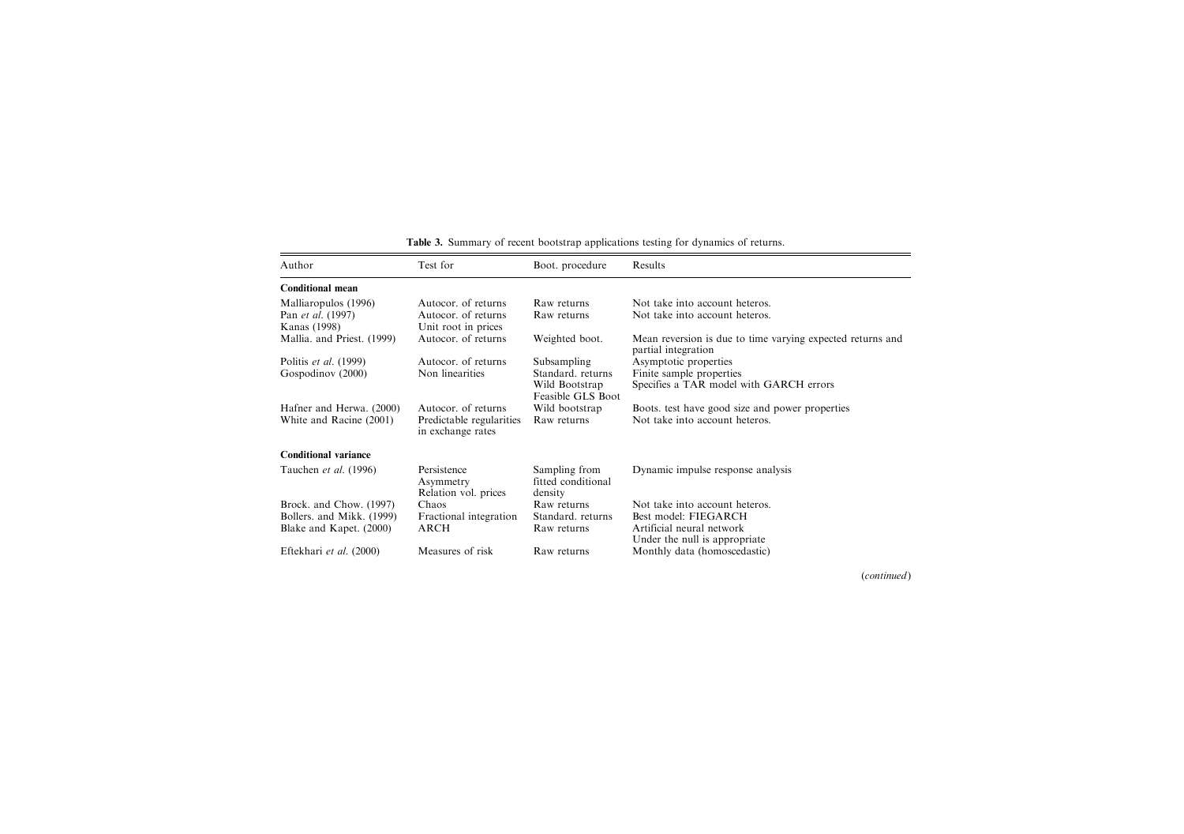| Author                     | Test for                                         | Boot. procedure                                | Results                                                                           |
|----------------------------|--------------------------------------------------|------------------------------------------------|-----------------------------------------------------------------------------------|
| <b>Conditional mean</b>    |                                                  |                                                |                                                                                   |
| Malliaropulos (1996)       | Autocor of returns                               | Raw returns                                    | Not take into account heteros                                                     |
| Pan <i>et al.</i> (1997)   | Autocor, of returns                              | Raw returns                                    | Not take into account heteros.                                                    |
| Kanas (1998)               | Unit root in prices                              |                                                |                                                                                   |
| Mallia. and Priest. (1999) | Autocor, of returns                              | Weighted boot.                                 | Mean reversion is due to time varying expected returns and<br>partial integration |
| Politis et al. (1999)      | Autocor, of returns                              | Subsampling                                    | Asymptotic properties                                                             |
| Gospodinov (2000)          | Non linearities                                  | Standard, returns                              | Finite sample properties                                                          |
|                            |                                                  | Wild Bootstrap<br>Feasible GLS Boot            | Specifies a TAR model with GARCH errors                                           |
| Hafner and Herwa. (2000)   | Autocor, of returns                              | Wild bootstrap                                 | Boots, test have good size and power properties                                   |
| White and Racine (2001)    | Predictable regularities<br>in exchange rates    | Raw returns                                    | Not take into account heteros.                                                    |
| Conditional variance       |                                                  |                                                |                                                                                   |
| Tauchen et al. (1996)      | Persistence<br>Asymmetry<br>Relation vol. prices | Sampling from<br>fitted conditional<br>density | Dynamic impulse response analysis                                                 |
| Brock. and Chow. (1997)    | Chaos                                            | Raw returns                                    | Not take into account heteros.                                                    |
| Bollers. and Mikk. (1999)  | Fractional integration                           | Standard, returns                              | Best model: FIEGARCH                                                              |
| Blake and Kapet. (2000)    | <b>ARCH</b>                                      | Raw returns                                    | Artificial neural network<br>Under the null is appropriate.                       |
| Eftekhari et al. (2000)    | Measures of risk                                 | Raw returns                                    | Monthly data (homoscedastic)                                                      |

Table 3. Summary of recent bootstrap applications testing for dynamics of returns.

(continued)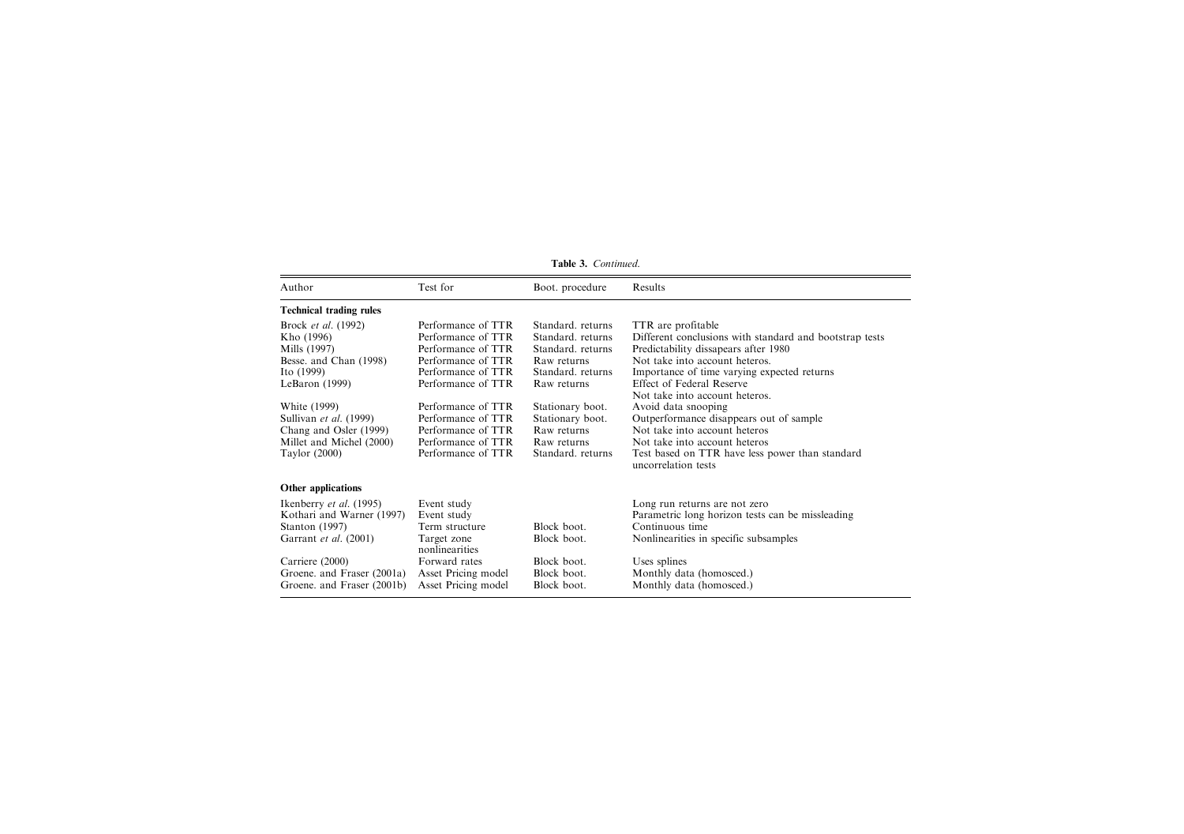|                                |                               | Table 3. Continued. |                                                                        |
|--------------------------------|-------------------------------|---------------------|------------------------------------------------------------------------|
| Author                         | Test for                      | Boot. procedure     | Results                                                                |
| <b>Technical trading rules</b> |                               |                     |                                                                        |
| Brock et al. (1992)            | Performance of TTR            | Standard, returns   | TTR are profitable                                                     |
| Kho (1996)                     | Performance of TTR            | Standard, returns   | Different conclusions with standard and bootstrap tests                |
| Mills (1997)                   | Performance of TTR            | Standard, returns   | Predictability dissapears after 1980                                   |
| Besse. and Chan (1998)         | Performance of TTR            | Raw returns         | Not take into account heteros.                                         |
| Ito $(1999)$                   | Performance of TTR            | Standard, returns   | Importance of time varying expected returns                            |
| LeBaron $(1999)$               | Performance of TTR            | Raw returns         | Effect of Federal Reserve                                              |
|                                |                               |                     | Not take into account heteros.                                         |
| White (1999)                   | Performance of TTR            | Stationary boot.    | Avoid data snooping                                                    |
| Sullivan et al. (1999)         | Performance of TTR            | Stationary boot.    | Outperformance disappears out of sample                                |
| Chang and Osler (1999)         | Performance of TTR            | Raw returns         | Not take into account heteros                                          |
| Millet and Michel (2000)       | Performance of TTR            | Raw returns         | Not take into account heteros                                          |
| Taylor $(2000)$                | Performance of TTR            | Standard, returns   | Test based on TTR have less power than standard<br>uncorrelation tests |
|                                |                               |                     |                                                                        |
| Other applications             |                               |                     |                                                                        |
| Ikenberry et al. (1995)        | Event study                   |                     | Long run returns are not zero                                          |
| Kothari and Warner (1997)      | Event study                   |                     | Parametric long horizon tests can be missleading                       |
| Stanton (1997)                 | Term structure                | Block boot.         | Continuous time                                                        |
| Garrant et al. (2001)          | Target zone<br>nonlinearities | Block boot.         | Nonlinearities in specific subsamples                                  |
| Carriere (2000)                | Forward rates                 | Block boot.         | Uses splines                                                           |
| Groene. and Fraser (2001a)     | Asset Pricing model           | Block boot.         | Monthly data (homosced.)                                               |
| Groene. and Fraser (2001b)     | Asset Pricing model           | Block boot.         | Monthly data (homosced.)                                               |

Table 3. Continued.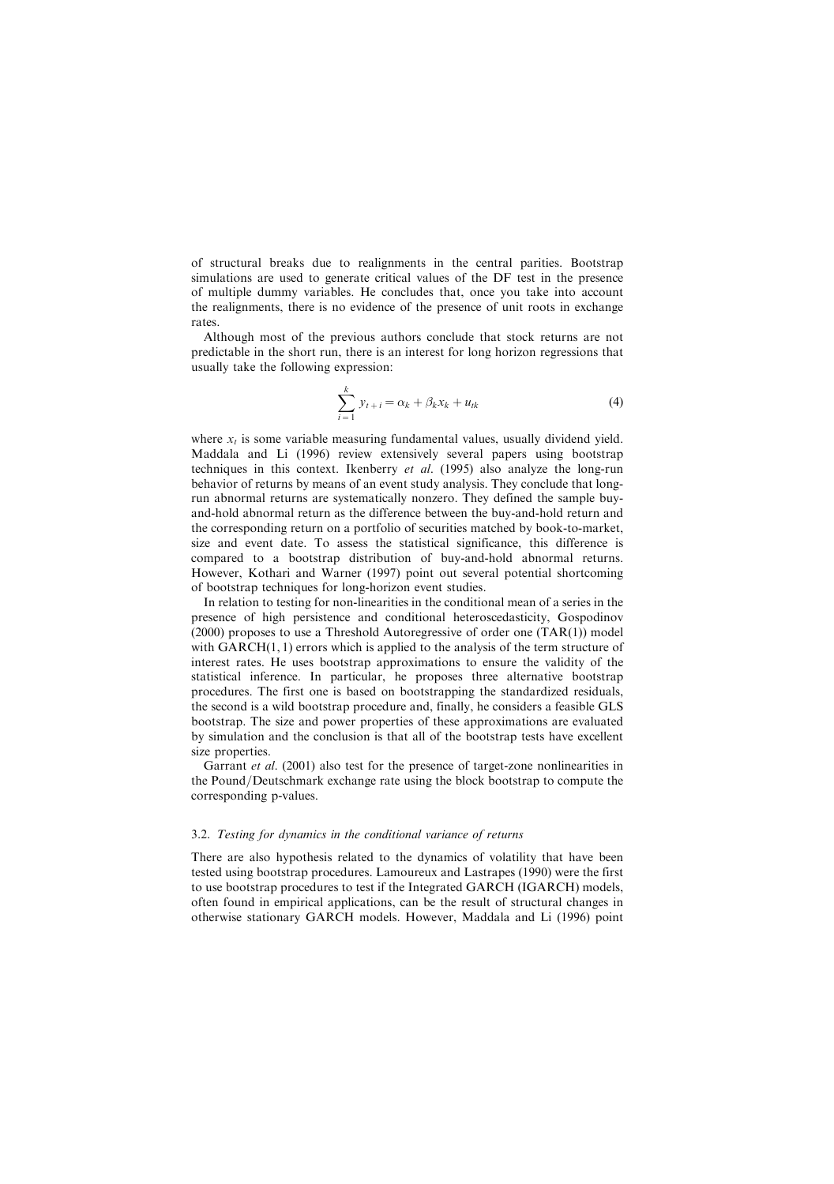of structural breaks due to realignments in the central parities. Bootstrap simulations are used to generate critical values of the DF test in the presence of multiple dummy variables. He concludes that, once you take into account the realignments, there is no evidence of the presence of unit roots in exchange rates.

Although most of the previous authors conclude that stock returns are not predictable in the short run, there is an interest for long horizon regressions that usually take the following expression:

$$
\sum_{i=1}^{k} y_{t+i} = \alpha_k + \beta_k x_k + u_{tk}
$$
\n<sup>(4)</sup>

where  $x<sub>t</sub>$  is some variable measuring fundamental values, usually dividend yield. Maddala and Li (1996) review extensively several papers using bootstrap techniques in this context. Ikenberry et al. (1995) also analyze the long-run behavior of returns by means of an event study analysis. They conclude that longrun abnormal returns are systematically nonzero. They defined the sample buyand-hold abnormal return as the difference between the buy-and-hold return and the corresponding return on a portfolio of securities matched by book-to-market, size and event date. To assess the statistical significance, this difference is compared to a bootstrap distribution of buy-and-hold abnormal returns. However, Kothari and Warner (1997) point out several potential shortcoming of bootstrap techniques for long-horizon event studies.

In relation to testing for non-linearities in the conditional mean of a series in the presence of high persistence and conditional heteroscedasticity, Gospodinov  $(2000)$  proposes to use a Threshold Autoregressive of order one  $(TAR(1))$  model with  $GARCH(1, 1)$  errors which is applied to the analysis of the term structure of interest rates. He uses bootstrap approximations to ensure the validity of the statistical inference. In particular, he proposes three alternative bootstrap procedures. The first one is based on bootstrapping the standardized residuals, the second is a wild bootstrap procedure and, finally, he considers a feasible GLS bootstrap. The size and power properties of these approximations are evaluated by simulation and the conclusion is that all of the bootstrap tests have excellent size properties.

Garrant *et al.* (2001) also test for the presence of target-zone nonlinearities in the Pound/Deutschmark exchange rate using the block bootstrap to compute the corresponding p-values.

#### 3.2. Testing for dynamics in the conditional variance of returns

There are also hypothesis related to the dynamics of volatility that have been tested using bootstrap procedures. Lamoureux and Lastrapes (1990) were the first to use bootstrap procedures to test if the Integrated GARCH (IGARCH) models, often found in empirical applications, can be the result of structural changes in otherwise stationary GARCH models. However, Maddala and Li (1996) point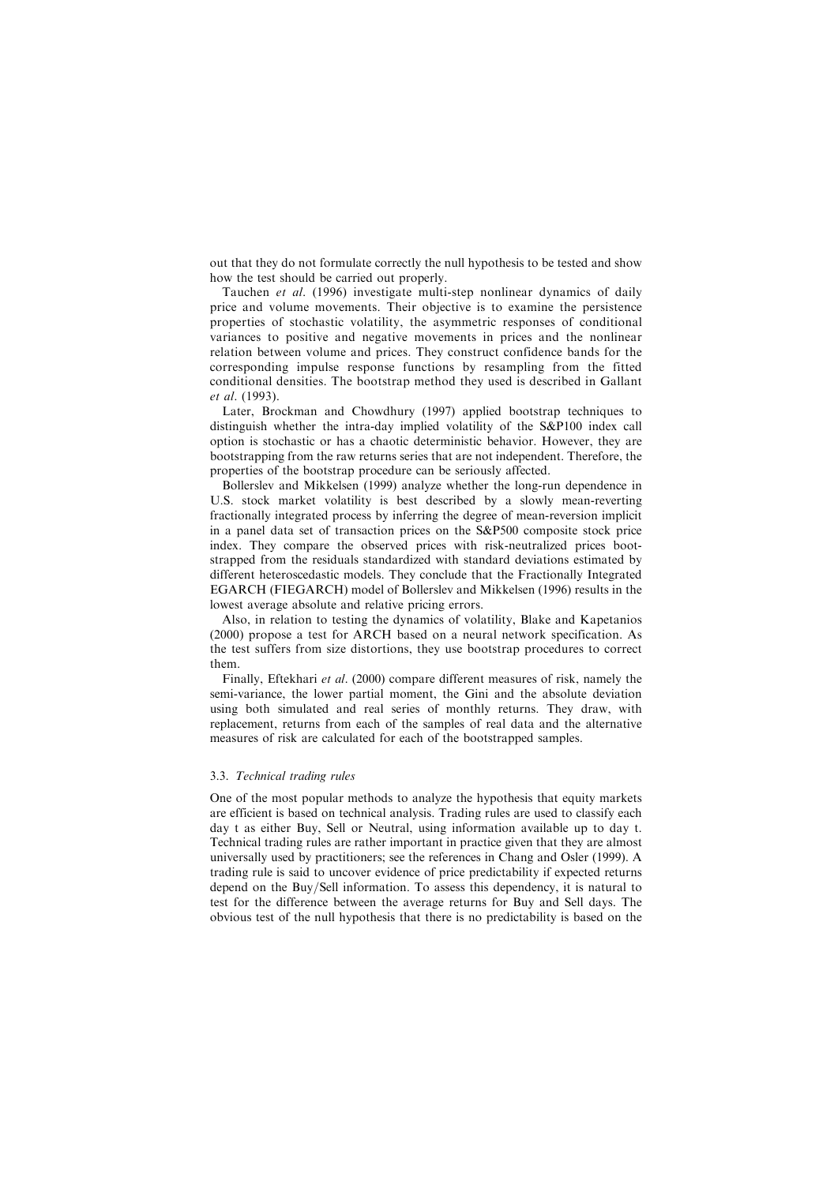out that they do not formulate correctly the null hypothesis to be tested and show how the test should be carried out properly.

Tauchen et al. (1996) investigate multi-step nonlinear dynamics of daily price and volume movements. Their objective is to examine the persistence properties of stochastic volatility, the asymmetric responses of conditional variances to positive and negative movements in prices and the nonlinear relation between volume and prices. They construct confidence bands for the corresponding impulse response functions by resampling from the fitted conditional densities. The bootstrap method they used is described in Gallant et al. (1993).

Later, Brockman and Chowdhury (1997) applied bootstrap techniques to distinguish whether the intra-day implied volatility of the S&P100 index call option is stochastic or has a chaotic deterministic behavior. However, they are bootstrapping from the raw returns series that are not independent. Therefore, the properties of the bootstrap procedure can be seriously affected.

Bollerslev and Mikkelsen (1999) analyze whether the long-run dependence in U.S. stock market volatility is best described by a slowly mean-reverting fractionally integrated process by inferring the degree of mean-reversion implicit in a panel data set of transaction prices on the S&P500 composite stock price index. They compare the observed prices with risk-neutralized prices bootstrapped from the residuals standardized with standard deviations estimated by different heteroscedastic models. They conclude that the Fractionally Integrated EGARCH (FIEGARCH) model of Bollerslev and Mikkelsen (1996) results in the lowest average absolute and relative pricing errors.

Also, in relation to testing the dynamics of volatility, Blake and Kapetanios (2000) propose a test for ARCH based on a neural network specification. As the test suffers from size distortions, they use bootstrap procedures to correct them.

Finally, Eftekhari et al. (2000) compare different measures of risk, namely the semi-variance, the lower partial moment, the Gini and the absolute deviation using both simulated and real series of monthly returns. They draw, with replacement, returns from each of the samples of real data and the alternative measures of risk are calculated for each of the bootstrapped samples.

## 3.3. Technical trading rules

One of the most popular methods to analyze the hypothesis that equity markets are efficient is based on technical analysis. Trading rules are used to classify each day t as either Buy, Sell or Neutral, using information available up to day t. Technical trading rules are rather important in practice given that they are almost universally used by practitioners; see the references in Chang and Osler (1999). A trading rule is said to uncover evidence of price predictability if expected returns depend on the Buy/Sell information. To assess this dependency, it is natural to test for the difference between the average returns for Buy and Sell days. The obvious test of the null hypothesis that there is no predictability is based on the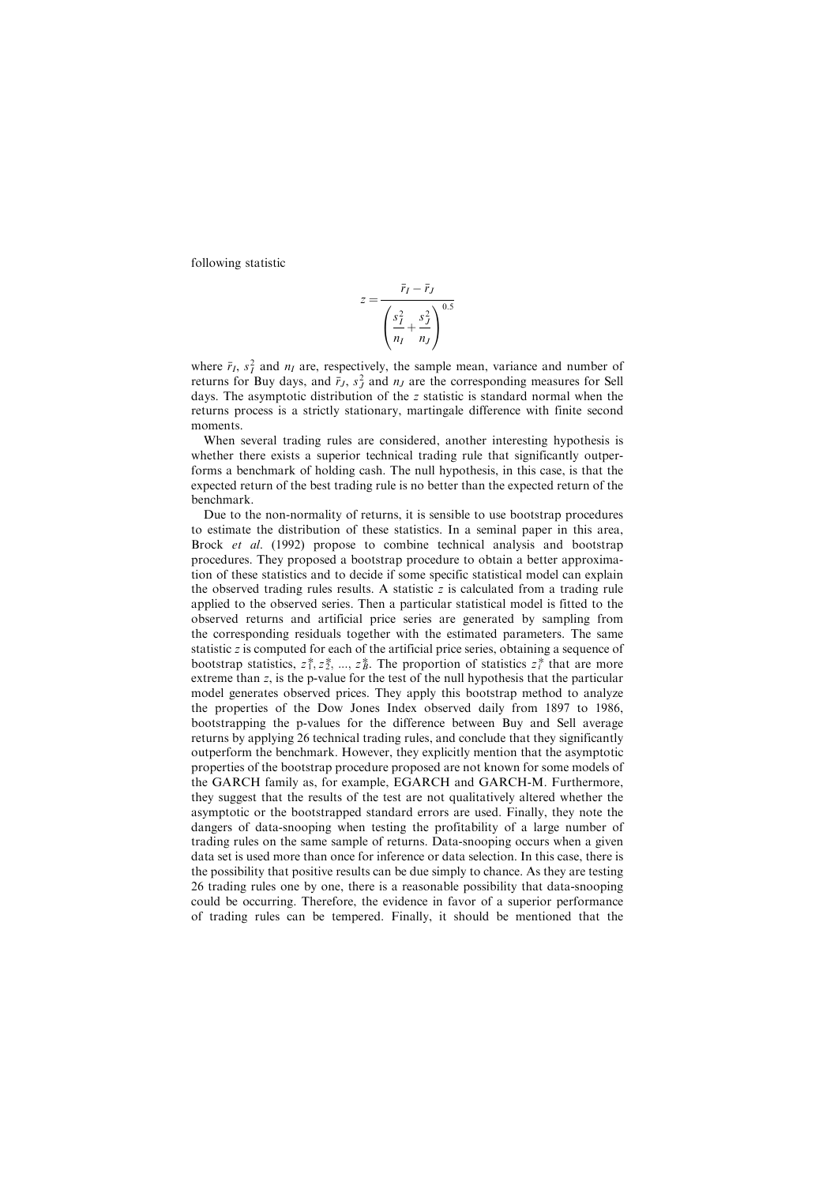following statistic

$$
z = \frac{\bar{r}_I - \bar{r}_J}{\left(\frac{s_I^2}{n_I} + \frac{s_J^2}{n_J}\right)^{0.5}}
$$

where  $\bar{r}_I$ ,  $s_I^2$  and  $n_I$  are, respectively, the sample mean, variance and number of returns for Buy dave, and  $\bar{r}_L$ ,  $s_I^2$  and  $n_I$  are the corresponding measures for Sell returns for Buy days, and  $\bar{r}_J$ ,  $s_J^2$  and  $n_J$  are the corresponding measures for Sell<br>days. The asymptotic distribution of the z statistic is standard normal when the days. The asymptotic distribution of the z statistic is standard normal when the returns process is a strictly stationary, martingale difference with finite second moments.

When several trading rules are considered, another interesting hypothesis is whether there exists a superior technical trading rule that significantly outperforms a benchmark of holding cash. The null hypothesis, in this case, is that the expected return of the best trading rule is no better than the expected return of the benchmark.

Due to the non-normality of returns, it is sensible to use bootstrap procedures to estimate the distribution of these statistics. In a seminal paper in this area, Brock *et al.* (1992) propose to combine technical analysis and bootstrap procedures. They proposed a bootstrap procedure to obtain a better approximation of these statistics and to decide if some specific statistical model can explain the observed trading rules results. A statistic  $z$  is calculated from a trading rule applied to the observed series. Then a particular statistical model is fitted to the observed returns and artificial price series are generated by sampling from the corresponding residuals together with the estimated parameters. The same statistic z is computed for each of the artificial price series, obtaining a sequence of bootstrap statistics,  $z_1^*, z_2^*, ..., z_B^*$ . The proportion of statistics  $z_i^*$  that are more<br>extreme than z is the p-value for the test of the null hypothesis that the particular extreme than  $z$ , is the p-value for the test of the null hypothesis that the particular model generates observed prices. They apply this bootstrap method to analyze the properties of the Dow Jones Index observed daily from 1897 to 1986, bootstrapping the p-values for the difference between Buy and Sell average returns by applying 26 technical trading rules, and conclude that they significantly outperform the benchmark. However, they explicitly mention that the asymptotic properties of the bootstrap procedure proposed are not known for some models of the GARCH family as, for example, EGARCH and GARCH-M. Furthermore, they suggest that the results of the test are not qualitatively altered whether the asymptotic or the bootstrapped standard errors are used. Finally, they note the dangers of data-snooping when testing the profitability of a large number of trading rules on the same sample of returns. Data-snooping occurs when a given data set is used more than once for inference or data selection. In this case, there is the possibility that positive results can be due simply to chance. As they are testing 26 trading rules one by one, there is a reasonable possibility that data-snooping could be occurring. Therefore, the evidence in favor of a superior performance of trading rules can be tempered. Finally, it should be mentioned that the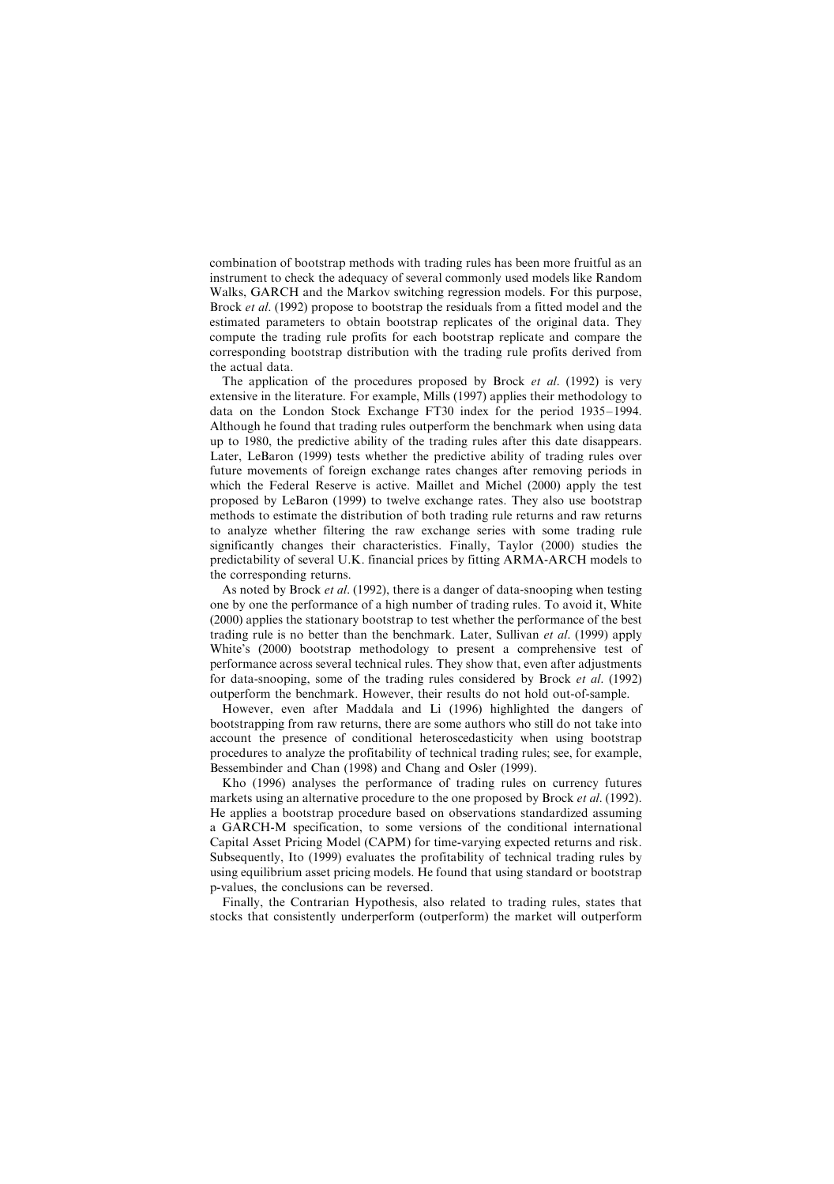combination of bootstrap methods with trading rules has been more fruitful as an instrument to check the adequacy of several commonly used models like Random Walks, GARCH and the Markov switching regression models. For this purpose, Brock et al. (1992) propose to bootstrap the residuals from a fitted model and the estimated parameters to obtain bootstrap replicates of the original data. They compute the trading rule profits for each bootstrap replicate and compare the corresponding bootstrap distribution with the trading rule profits derived from the actual data.

The application of the procedures proposed by Brock et al. (1992) is very extensive in the literature. For example, Mills (1997) applies their methodology to data on the London Stock Exchange FT30 index for the period 1935– 1994. Although he found that trading rules outperform the benchmark when using data up to 1980, the predictive ability of the trading rules after this date disappears. Later, LeBaron (1999) tests whether the predictive ability of trading rules over future movements of foreign exchange rates changes after removing periods in which the Federal Reserve is active. Maillet and Michel (2000) apply the test proposed by LeBaron (1999) to twelve exchange rates. They also use bootstrap methods to estimate the distribution of both trading rule returns and raw returns to analyze whether filtering the raw exchange series with some trading rule significantly changes their characteristics. Finally, Taylor (2000) studies the predictability of several U.K. financial prices by fitting ARMA-ARCH models to the corresponding returns.

As noted by Brock *et al.* (1992), there is a danger of data-snooping when testing one by one the performance of a high number of trading rules. To avoid it, White (2000) applies the stationary bootstrap to test whether the performance of the best trading rule is no better than the benchmark. Later, Sullivan et al. (1999) apply White's (2000) bootstrap methodology to present a comprehensive test of performance across several technical rules. They show that, even after adjustments for data-snooping, some of the trading rules considered by Brock et al. (1992) outperform the benchmark. However, their results do not hold out-of-sample.

However, even after Maddala and Li (1996) highlighted the dangers of bootstrapping from raw returns, there are some authors who still do not take into account the presence of conditional heteroscedasticity when using bootstrap procedures to analyze the profitability of technical trading rules; see, for example, Bessembinder and Chan (1998) and Chang and Osler (1999).

Kho (1996) analyses the performance of trading rules on currency futures markets using an alternative procedure to the one proposed by Brock *et al.* (1992). He applies a bootstrap procedure based on observations standardized assuming a GARCH-M specification, to some versions of the conditional international Capital Asset Pricing Model (CAPM) for time-varying expected returns and risk. Subsequently, Ito (1999) evaluates the profitability of technical trading rules by using equilibrium asset pricing models. He found that using standard or bootstrap p-values, the conclusions can be reversed.

Finally, the Contrarian Hypothesis, also related to trading rules, states that stocks that consistently underperform (outperform) the market will outperform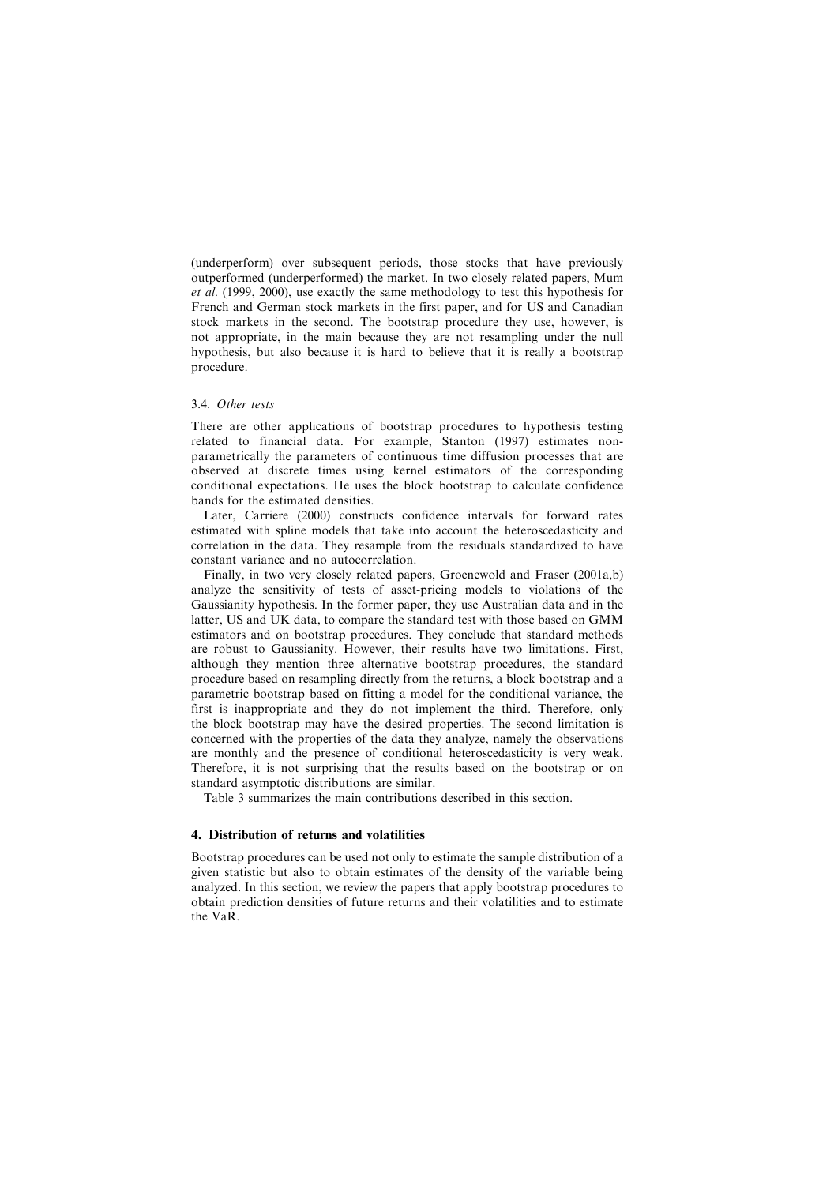(underperform) over subsequent periods, those stocks that have previously outperformed (underperformed) the market. In two closely related papers, Mum et al. (1999, 2000), use exactly the same methodology to test this hypothesis for French and German stock markets in the first paper, and for US and Canadian stock markets in the second. The bootstrap procedure they use, however, is not appropriate, in the main because they are not resampling under the null hypothesis, but also because it is hard to believe that it is really a bootstrap procedure.

#### 3.4. Other tests

There are other applications of bootstrap procedures to hypothesis testing related to financial data. For example, Stanton (1997) estimates nonparametrically the parameters of continuous time diffusion processes that are observed at discrete times using kernel estimators of the corresponding conditional expectations. He uses the block bootstrap to calculate confidence bands for the estimated densities.

Later, Carriere (2000) constructs confidence intervals for forward rates estimated with spline models that take into account the heteroscedasticity and correlation in the data. They resample from the residuals standardized to have constant variance and no autocorrelation.

Finally, in two very closely related papers, Groenewold and Fraser (2001a,b) analyze the sensitivity of tests of asset-pricing models to violations of the Gaussianity hypothesis. In the former paper, they use Australian data and in the latter, US and UK data, to compare the standard test with those based on GMM estimators and on bootstrap procedures. They conclude that standard methods are robust to Gaussianity. However, their results have two limitations. First, although they mention three alternative bootstrap procedures, the standard procedure based on resampling directly from the returns, a block bootstrap and a parametric bootstrap based on fitting a model for the conditional variance, the first is inappropriate and they do not implement the third. Therefore, only the block bootstrap may have the desired properties. The second limitation is concerned with the properties of the data they analyze, namely the observations are monthly and the presence of conditional heteroscedasticity is very weak. Therefore, it is not surprising that the results based on the bootstrap or on standard asymptotic distributions are similar.

Table 3 summarizes the main contributions described in this section.

#### 4. Distribution of returns and volatilities

Bootstrap procedures can be used not only to estimate the sample distribution of a given statistic but also to obtain estimates of the density of the variable being analyzed. In this section, we review the papers that apply bootstrap procedures to obtain prediction densities of future returns and their volatilities and to estimate the VaR.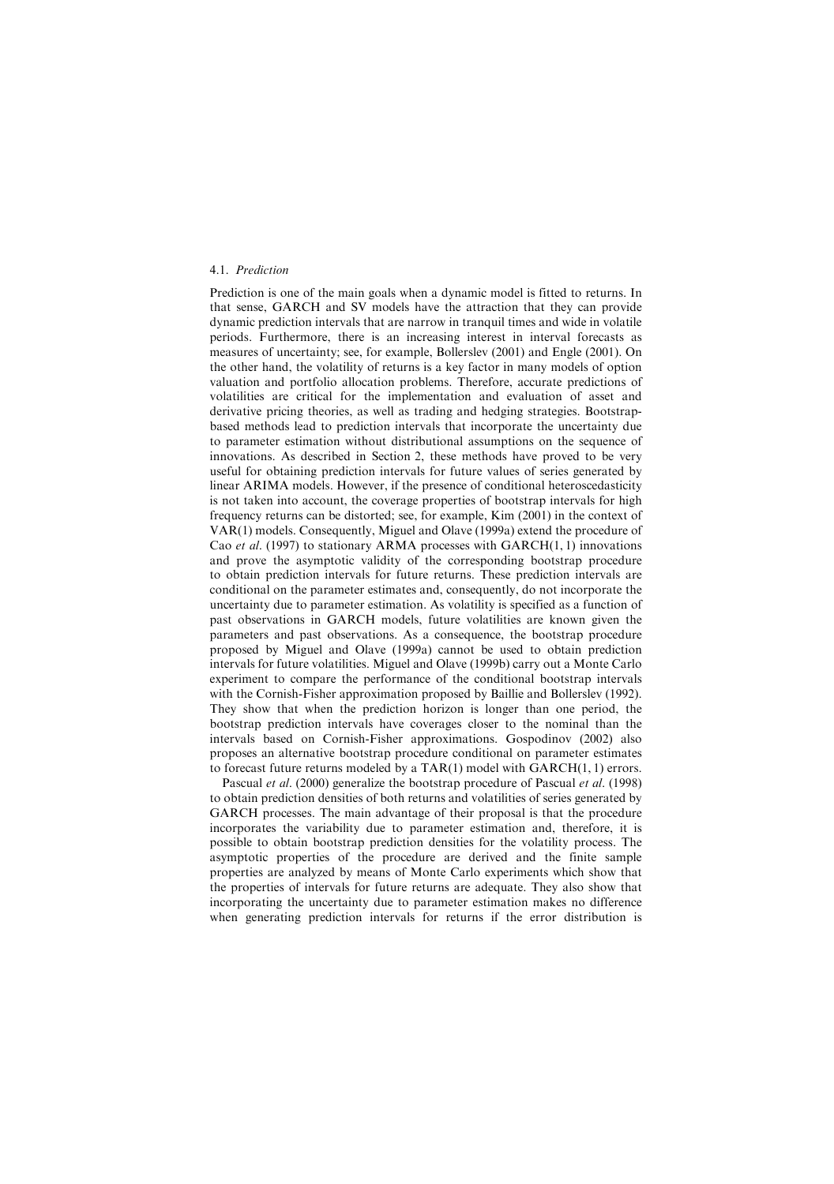#### 4.1. Prediction

Prediction is one of the main goals when a dynamic model is fitted to returns. In that sense, GARCH and SV models have the attraction that they can provide dynamic prediction intervals that are narrow in tranquil times and wide in volatile periods. Furthermore, there is an increasing interest in interval forecasts as measures of uncertainty; see, for example, Bollerslev (2001) and Engle (2001). On the other hand, the volatility of returns is a key factor in many models of option valuation and portfolio allocation problems. Therefore, accurate predictions of volatilities are critical for the implementation and evaluation of asset and derivative pricing theories, as well as trading and hedging strategies. Bootstrapbased methods lead to prediction intervals that incorporate the uncertainty due to parameter estimation without distributional assumptions on the sequence of innovations. As described in Section 2, these methods have proved to be very useful for obtaining prediction intervals for future values of series generated by linear ARIMA models. However, if the presence of conditional heteroscedasticity is not taken into account, the coverage properties of bootstrap intervals for high frequency returns can be distorted; see, for example, Kim (2001) in the context of VAR(1) models. Consequently, Miguel and Olave (1999a) extend the procedure of Cao et al. (1997) to stationary ARMA processes with  $GARCH(1, 1)$  innovations and prove the asymptotic validity of the corresponding bootstrap procedure to obtain prediction intervals for future returns. These prediction intervals are conditional on the parameter estimates and, consequently, do not incorporate the uncertainty due to parameter estimation. As volatility is specified as a function of past observations in GARCH models, future volatilities are known given the parameters and past observations. As a consequence, the bootstrap procedure proposed by Miguel and Olave (1999a) cannot be used to obtain prediction intervals for future volatilities. Miguel and Olave (1999b) carry out a Monte Carlo experiment to compare the performance of the conditional bootstrap intervals with the Cornish-Fisher approximation proposed by Baillie and Bollerslev (1992). They show that when the prediction horizon is longer than one period, the bootstrap prediction intervals have coverages closer to the nominal than the intervals based on Cornish-Fisher approximations. Gospodinov (2002) also proposes an alternative bootstrap procedure conditional on parameter estimates to forecast future returns modeled by a TAR(1) model with GARCH(1, 1) errors.

Pascual *et al.* (2000) generalize the bootstrap procedure of Pascual *et al.* (1998) to obtain prediction densities of both returns and volatilities of series generated by GARCH processes. The main advantage of their proposal is that the procedure incorporates the variability due to parameter estimation and, therefore, it is possible to obtain bootstrap prediction densities for the volatility process. The asymptotic properties of the procedure are derived and the finite sample properties are analyzed by means of Monte Carlo experiments which show that the properties of intervals for future returns are adequate. They also show that incorporating the uncertainty due to parameter estimation makes no difference when generating prediction intervals for returns if the error distribution is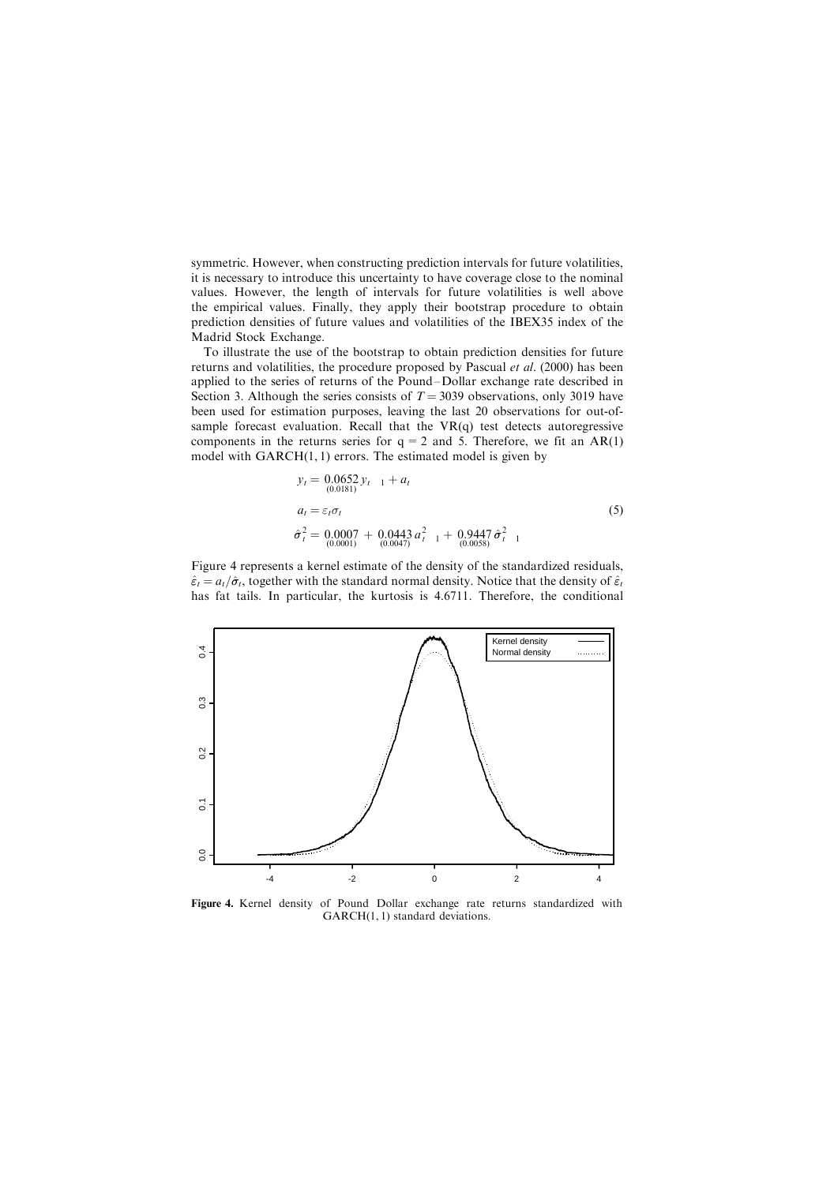symmetric. However, when constructing prediction intervals for future volatilities, it is necessary to introduce this uncertainty to have coverage close to the nominal values. However, the length of intervals for future volatilities is well above the empirical values. Finally, they apply their bootstrap procedure to obtain prediction densities of future values and volatilities of the IBEX35 index of the Madrid Stock Exchange.

To illustrate the use of the bootstrap to obtain prediction densities for future returns and volatilities, the procedure proposed by Pascual et al. (2000) has been applied to the series of returns of the Pound –Dollar exchange rate described in Section 3. Although the series consists of  $T = 3039$  observations, only 3019 have been used for estimation purposes, leaving the last 20 observations for out-ofsample forecast evaluation. Recall that the  $VR(q)$  test detects autoregressive components in the returns series for  $q = 2$  and 5. Therefore, we fit an AR(1) model with GARCH(1, 1) errors. The estimated model is given by

$$
y_t = \begin{cases} 0.0652 y_{t-1} + a_t \\ a_t = \varepsilon_t \sigma_t \end{cases}
$$
  
\n
$$
\hat{\sigma}_t^2 = 0.0007 + 0.0443 a_{t-1}^2 + 0.9447 \hat{\sigma}_{t-1}^2
$$
  
\n(5)  
\n
$$
\hat{\sigma}_{t}^2 = 0.00007 + 0.0443 a_{t-1}^2 + 0.9447 \hat{\sigma}_{t-1}^2
$$

Figure 4 represents a kernel estimate of the density of the standardized residuals,  $\hat{\varepsilon}_t = a_t/\hat{\sigma}_t$ , together with the standard normal density. Notice that the density of  $\hat{\varepsilon}_t$ has fat tails. In particular, the kurtosis is 4.6711. Therefore, the conditional



Figure 4. Kernel density of Pound Dollar exchange rate returns standardized with GARCH(1, 1) standard deviations.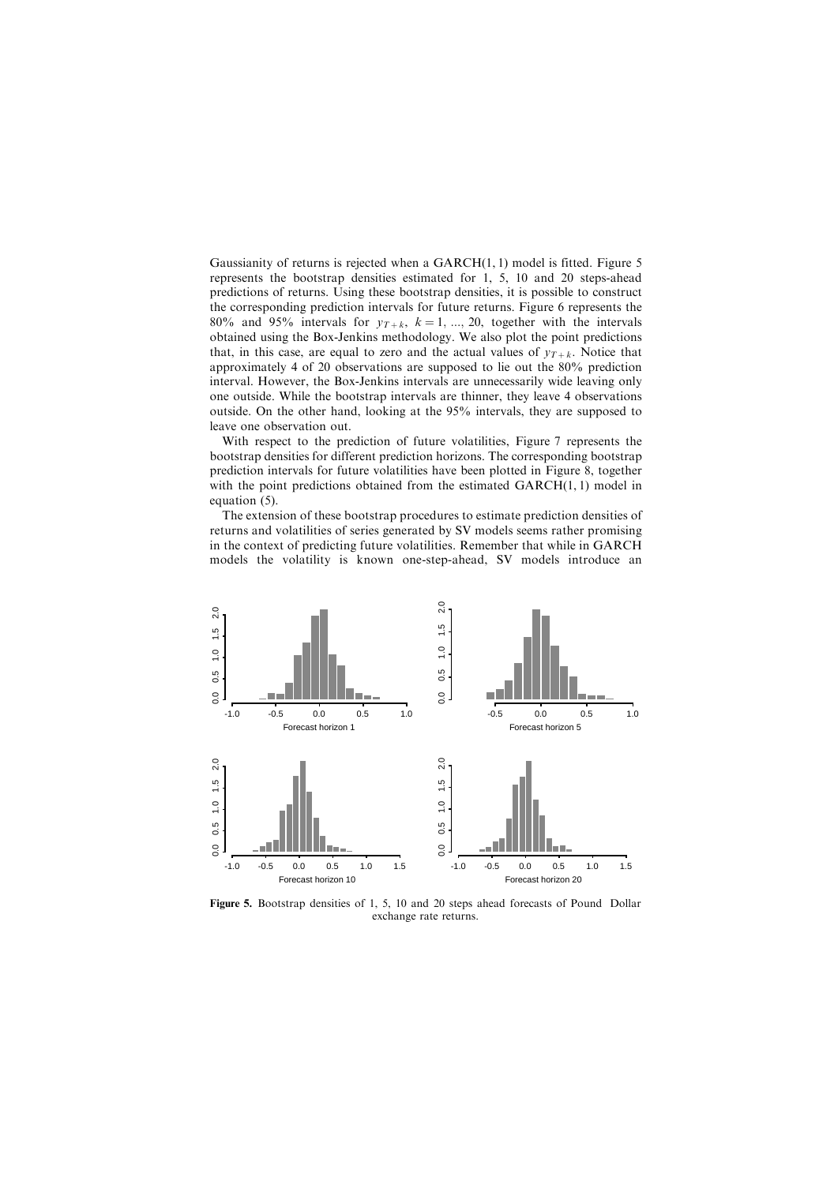Gaussianity of returns is rejected when a  $GARCH(1, 1)$  model is fitted. Figure 5 represents the bootstrap densities estimated for 1, 5, 10 and 20 steps-ahead predictions of returns. Using these bootstrap densities, it is possible to construct the corresponding prediction intervals for future returns. Figure 6 represents the 80% and 95% intervals for  $y_{T+k}$ ,  $k = 1, ..., 20$ , together with the intervals obtained using the Box-Jenkins methodology. We also plot the point predictions that, in this case, are equal to zero and the actual values of  $y_{T+k}$ . Notice that approximately 4 of 20 observations are supposed to lie out the 80% prediction interval. However, the Box-Jenkins intervals are unnecessarily wide leaving only one outside. While the bootstrap intervals are thinner, they leave 4 observations outside. On the other hand, looking at the 95% intervals, they are supposed to leave one observation out.

With respect to the prediction of future volatilities, Figure 7 represents the bootstrap densities for different prediction horizons. The corresponding bootstrap prediction intervals for future volatilities have been plotted in Figure 8, together with the point predictions obtained from the estimated GARCH(1,1) model in equation (5).

The extension of these bootstrap procedures to estimate prediction densities of returns and volatilities of series generated by SV models seems rather promising in the context of predicting future volatilities. Remember that while in GARCH models the volatility is known one-step-ahead, SV models introduce an



Figure 5. Bootstrap densities of 1, 5, 10 and 20 steps ahead forecasts of Pound Dollar exchange rate returns.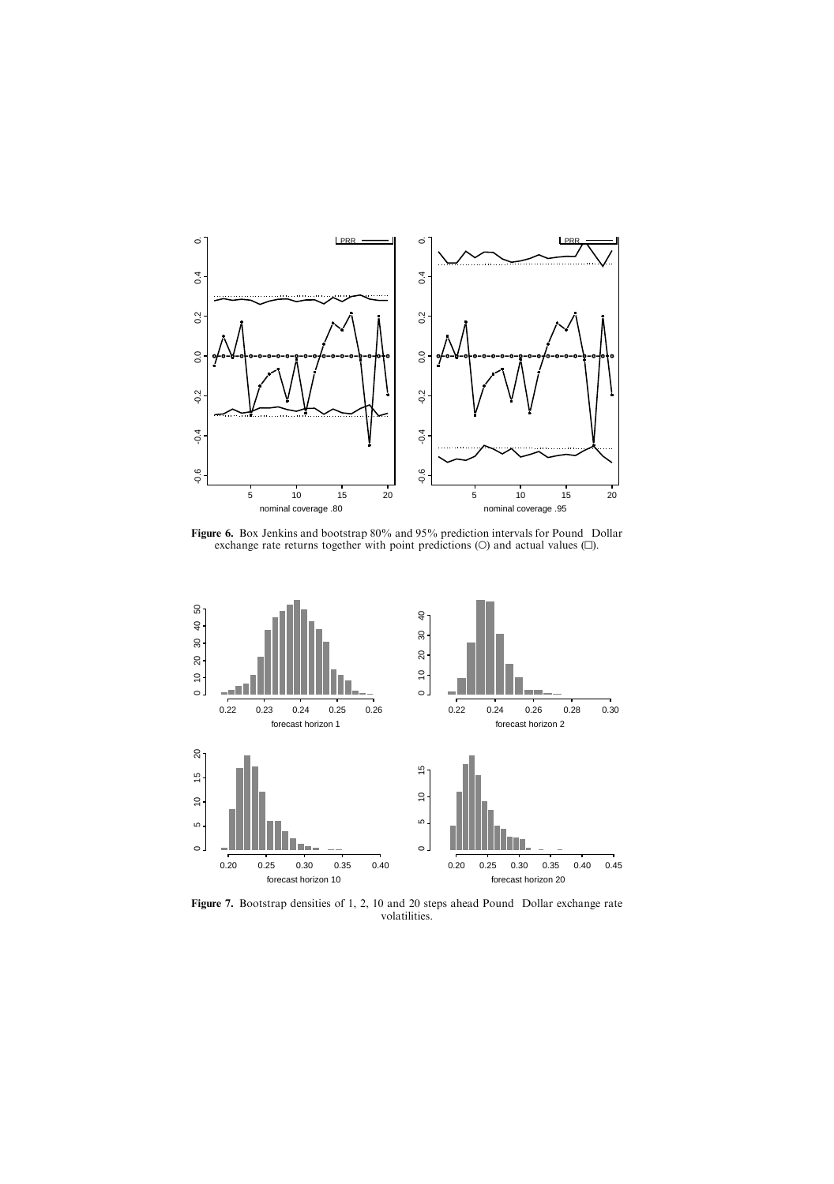

Figure 6. Box Jenkins and bootstrap 80% and 95% prediction intervals for Pound Dollar exchange rate returns together with point predictions ( $O$ ) and actual values  $( \Box ).$ 



Figure 7. Bootstrap densities of 1, 2, 10 and 20 steps ahead Pound Dollar exchange rate volatilities.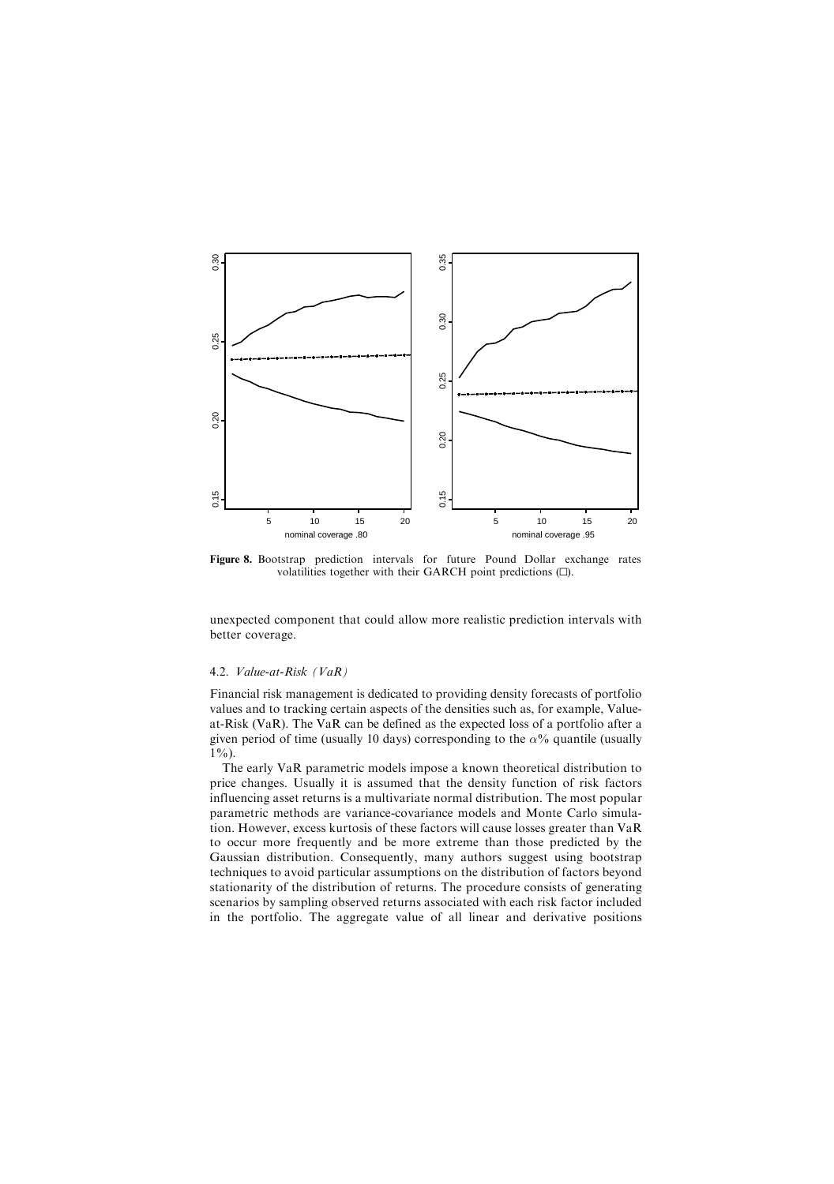

Figure 8. Bootstrap prediction intervals for future Pound Dollar exchange rates volatilities together with their GARCH point predictions (D).

unexpected component that could allow more realistic prediction intervals with better coverage.

#### 4.2. Value-at-Risk (VaR)

Financial risk management is dedicated to providing density forecasts of portfolio values and to tracking certain aspects of the densities such as, for example, Valueat-Risk (VaR). The VaR can be defined as the expected loss of a portfolio after a given period of time (usually 10 days) corresponding to the  $\alpha$ % quantile (usually  $1\%$ ).

The early VaR parametric models impose a known theoretical distribution to price changes. Usually it is assumed that the density function of risk factors influencing asset returns is a multivariate normal distribution. The most popular parametric methods are variance-covariance models and Monte Carlo simulation. However, excess kurtosis of these factors will cause losses greater than VaR to occur more frequently and be more extreme than those predicted by the Gaussian distribution. Consequently, many authors suggest using bootstrap techniques to avoid particular assumptions on the distribution of factors beyond stationarity of the distribution of returns. The procedure consists of generating scenarios by sampling observed returns associated with each risk factor included in the portfolio. The aggregate value of all linear and derivative positions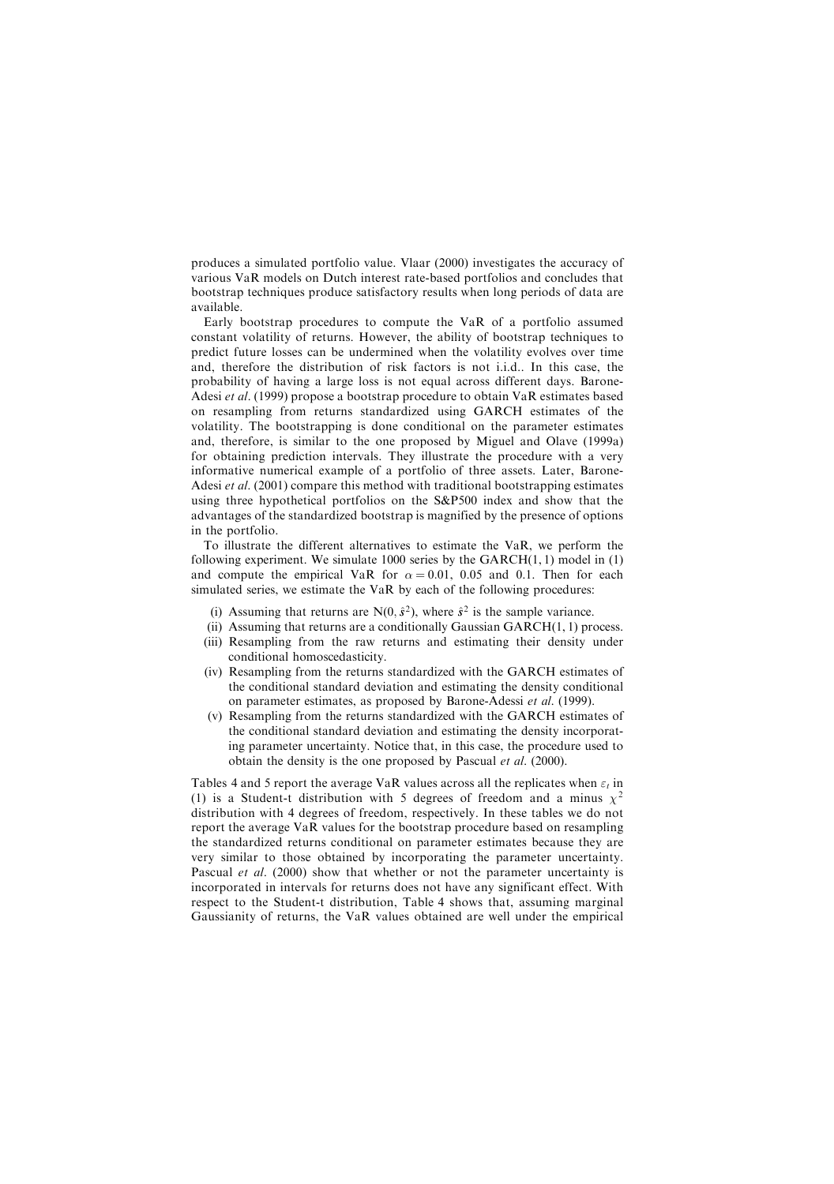produces a simulated portfolio value. Vlaar (2000) investigates the accuracy of various VaR models on Dutch interest rate-based portfolios and concludes that bootstrap techniques produce satisfactory results when long periods of data are available.

Early bootstrap procedures to compute the VaR of a portfolio assumed constant volatility of returns. However, the ability of bootstrap techniques to predict future losses can be undermined when the volatility evolves over time and, therefore the distribution of risk factors is not i.i.d.. In this case, the probability of having a large loss is not equal across different days. Barone-Adesi et al. (1999) propose a bootstrap procedure to obtain VaR estimates based on resampling from returns standardized using GARCH estimates of the volatility. The bootstrapping is done conditional on the parameter estimates and, therefore, is similar to the one proposed by Miguel and Olave (1999a) for obtaining prediction intervals. They illustrate the procedure with a very informative numerical example of a portfolio of three assets. Later, Barone-Adesi et al. (2001) compare this method with traditional bootstrapping estimates using three hypothetical portfolios on the S&P500 index and show that the advantages of the standardized bootstrap is magnified by the presence of options in the portfolio.

To illustrate the different alternatives to estimate the VaR, we perform the following experiment. We simulate  $1000$  series by the GARCH $(1, 1)$  model in  $(1)$ and compute the empirical VaR for  $\alpha = 0.01$ , 0.05 and 0.1. Then for each simulated series, we estimate the VaR by each of the following procedures:

- (i) Assuming that returns are N(0,  $\hat{s}^2$ ), where  $\hat{s}^2$  is the sample variance.
- (ii) Assuming that returns are a conditionally Gaussian GARCH $(1, 1)$  process.
- (iii) Resampling from the raw returns and estimating their density under conditional homoscedasticity.
- (iv) Resampling from the returns standardized with the GARCH estimates of the conditional standard deviation and estimating the density conditional on parameter estimates, as proposed by Barone-Adessi et al. (1999).
- (v) Resampling from the returns standardized with the GARCH estimates of the conditional standard deviation and estimating the density incorporating parameter uncertainty. Notice that, in this case, the procedure used to obtain the density is the one proposed by Pascual et al. (2000).

Tables 4 and 5 report the average VaR values across all the replicates when  $\varepsilon_t$  in (1) is a Student-t distribution with 5 degrees of freedom and a minus  $\chi^2$ distribution with 4 degrees of freedom, respectively. In these tables we do not report the average VaR values for the bootstrap procedure based on resampling the standardized returns conditional on parameter estimates because they are very similar to those obtained by incorporating the parameter uncertainty. Pascual et al. (2000) show that whether or not the parameter uncertainty is incorporated in intervals for returns does not have any significant effect. With respect to the Student-t distribution, Table 4 shows that, assuming marginal Gaussianity of returns, the VaR values obtained are well under the empirical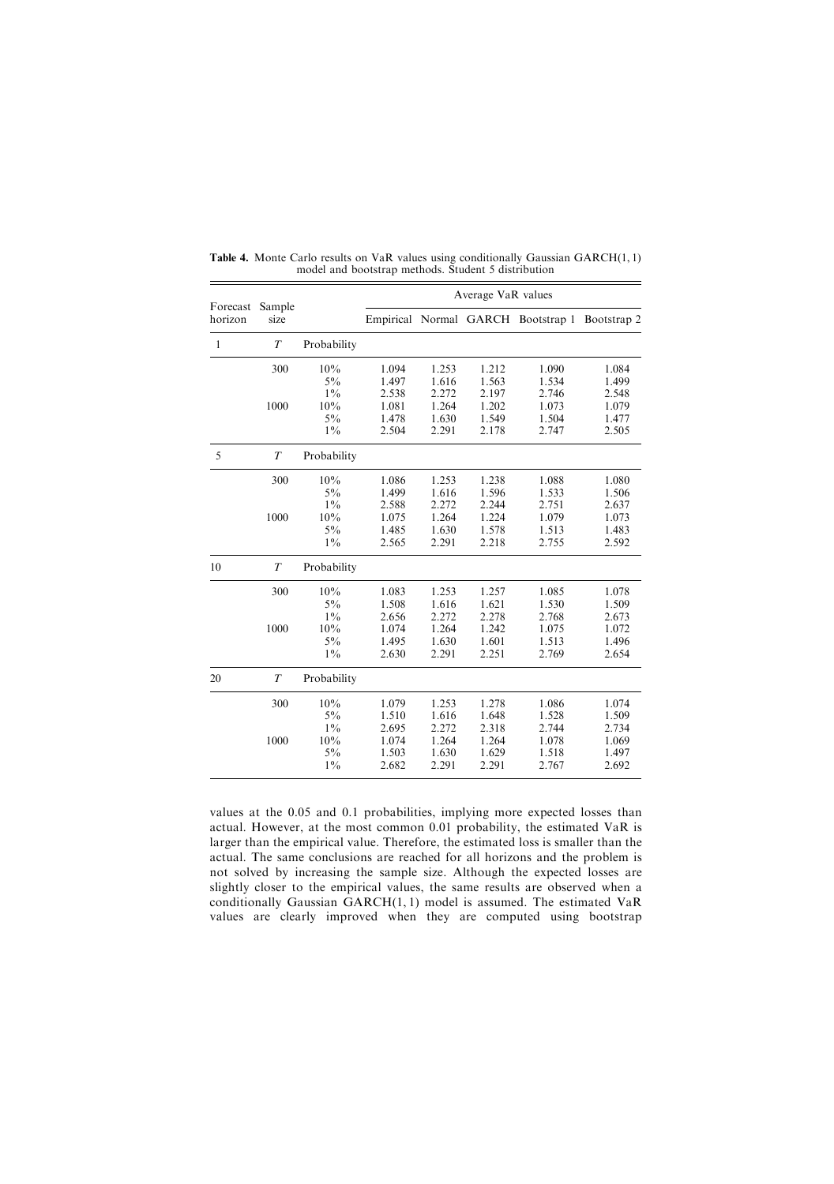|                     |                |             | Average VaR values |       |       |                                    |             |
|---------------------|----------------|-------------|--------------------|-------|-------|------------------------------------|-------------|
| Forecast<br>horizon | Sample<br>size |             |                    |       |       | Empirical Normal GARCH Bootstrap 1 | Bootstrap 2 |
| 1                   | $\overline{T}$ | Probability |                    |       |       |                                    |             |
|                     | 300            | 10%         | 1.094              | 1.253 | 1.212 | 1.090                              | 1.084       |
|                     |                | $5\%$       | 1.497              | 1.616 | 1.563 | 1.534                              | 1.499       |
|                     |                | $1\%$       | 2.538              | 2.272 | 2.197 | 2.746                              | 2.548       |
|                     | 1000           | 10%         | 1.081              | 1.264 | 1.202 | 1.073                              | 1.079       |
|                     |                | $5\%$       | 1.478              | 1.630 | 1.549 | 1.504                              | 1.477       |
|                     |                | $1\%$       | 2.504              | 2.291 | 2.178 | 2.747                              | 2.505       |
| 5                   | T              | Probability |                    |       |       |                                    |             |
|                     | 300            | 10%         | 1.086              | 1.253 | 1.238 | 1.088                              | 1.080       |
|                     |                | $5\%$       | 1.499              | 1.616 | 1.596 | 1.533                              | 1.506       |
|                     |                | $1\%$       | 2.588              | 2.272 | 2.244 | 2.751                              | 2.637       |
|                     | 1000           | 10%         | 1.075              | 1.264 | 1.224 | 1.079                              | 1.073       |
|                     |                | $5\%$       | 1.485              | 1.630 | 1.578 | 1.513                              | 1.483       |
|                     |                | $1\%$       | 2.565              | 2.291 | 2.218 | 2.755                              | 2.592       |
| 10                  | T              | Probability |                    |       |       |                                    |             |
|                     | 300            | 10%         | 1.083              | 1.253 | 1.257 | 1.085                              | 1.078       |
|                     |                | $5\%$       | 1.508              | 1.616 | 1.621 | 1.530                              | 1.509       |
|                     |                | $1\%$       | 2.656              | 2.272 | 2.278 | 2.768                              | 2.673       |
|                     | 1000           | 10%         | 1.074              | 1.264 | 1.242 | 1.075                              | 1.072       |
|                     |                | $5\%$       | 1.495              | 1.630 | 1.601 | 1.513                              | 1.496       |
|                     |                | $1\%$       | 2.630              | 2.291 | 2.251 | 2.769                              | 2.654       |
| 20                  | T              | Probability |                    |       |       |                                    |             |
|                     | 300            | 10%         | 1.079              | 1.253 | 1.278 | 1.086                              | 1.074       |
|                     |                | $5\%$       | 1.510              | 1.616 | 1.648 | 1.528                              | 1.509       |
|                     |                | $1\%$       | 2.695              | 2.272 | 2.318 | 2.744                              | 2.734       |
|                     | 1000           | 10%         | 1.074              | 1.264 | 1.264 | 1.078                              | 1.069       |
|                     |                | $5\%$       | 1.503              | 1.630 | 1.629 | 1.518                              | 1.497       |
|                     |                | $1\%$       | 2.682              | 2.291 | 2.291 | 2.767                              | 2.692       |
|                     |                |             |                    |       |       |                                    |             |

Table 4. Monte Carlo results on VaR values using conditionally Gaussian GARCH(1, 1) model and bootstrap methods. Student 5 distribution

values at the 0.05 and 0.1 probabilities, implying more expected losses than actual. However, at the most common 0.01 probability, the estimated VaR is larger than the empirical value. Therefore, the estimated loss is smaller than the actual. The same conclusions are reached for all horizons and the problem is not solved by increasing the sample size. Although the expected losses are slightly closer to the empirical values, the same results are observed when a conditionally Gaussian GARCH(1, 1) model is assumed. The estimated VaR values are clearly improved when they are computed using bootstrap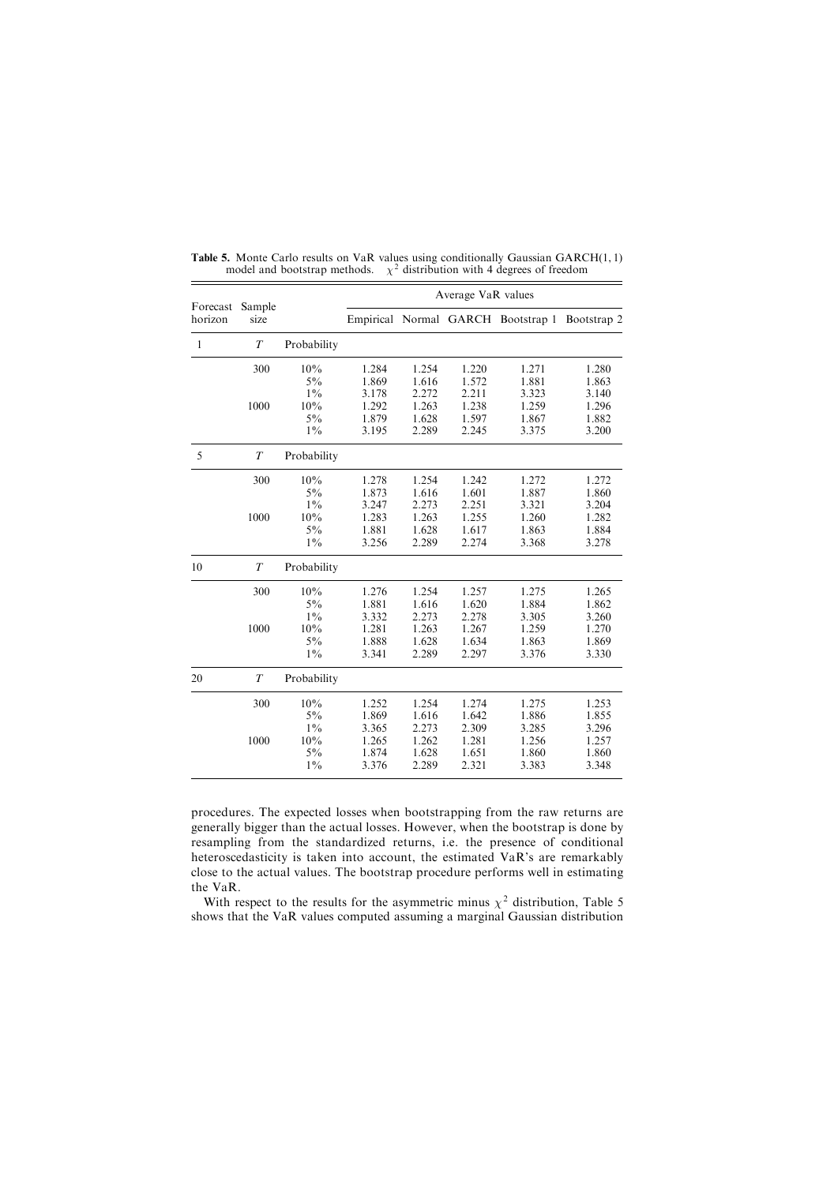|                     |                |             | Average VaR values |       |       |                                    |             |
|---------------------|----------------|-------------|--------------------|-------|-------|------------------------------------|-------------|
| Forecast<br>horizon | Sample<br>size |             |                    |       |       | Empirical Normal GARCH Bootstrap 1 | Bootstrap 2 |
| $\mathbf{1}$        | $\overline{T}$ | Probability |                    |       |       |                                    |             |
|                     | 300            | 10%         | 1.284              | 1.254 | 1.220 | 1.271                              | 1.280       |
|                     |                | $5\%$       | 1.869              | 1.616 | 1.572 | 1.881                              | 1.863       |
|                     |                | $1\%$       | 3.178              | 2.272 | 2.211 | 3.323                              | 3.140       |
|                     | 1000           | 10%         | 1.292              | 1.263 | 1.238 | 1.259                              | 1.296       |
|                     |                | $5\%$       | 1.879              | 1.628 | 1.597 | 1.867                              | 1.882       |
|                     |                | $1\%$       | 3.195              | 2.289 | 2.245 | 3.375                              | 3.200       |
| 5                   | $\overline{T}$ | Probability |                    |       |       |                                    |             |
|                     | 300            | 10%         | 1.278              | 1.254 | 1.242 | 1.272                              | 1.272       |
|                     |                | $5\%$       | 1.873              | 1.616 | 1.601 | 1.887                              | 1.860       |
|                     |                | $1\%$       | 3.247              | 2.273 | 2.251 | 3.321                              | 3.204       |
|                     | 1000           | 10%         | 1.283              | 1.263 | 1.255 | 1.260                              | 1.282       |
|                     |                | $5\%$       | 1.881              | 1.628 | 1.617 | 1.863                              | 1.884       |
|                     |                | $1\%$       | 3.256              | 2.289 | 2.274 | 3.368                              | 3.278       |
| 10                  | $\overline{T}$ | Probability |                    |       |       |                                    |             |
|                     | 300            | 10%         | 1.276              | 1.254 | 1.257 | 1.275                              | 1.265       |
|                     |                | $5\%$       | 1.881              | 1.616 | 1.620 | 1.884                              | 1.862       |
|                     |                | $1\%$       | 3.332              | 2.273 | 2.278 | 3.305                              | 3.260       |
|                     | 1000           | 10%         | 1.281              | 1.263 | 1.267 | 1.259                              | 1.270       |
|                     |                | $5\%$       | 1.888              | 1.628 | 1.634 | 1.863                              | 1.869       |
|                     |                | $1\%$       | 3.341              | 2.289 | 2.297 | 3.376                              | 3.330       |
| 20                  | T              | Probability |                    |       |       |                                    |             |
|                     | 300            | 10%         | 1.252              | 1.254 | 1.274 | 1.275                              | 1.253       |
|                     |                | $5\%$       | 1.869              | 1.616 | 1.642 | 1.886                              | 1.855       |
|                     |                | $1\%$       | 3.365              | 2.273 | 2.309 | 3.285                              | 3.296       |
|                     | 1000           | 10%         | 1.265              | 1.262 | 1.281 | 1.256                              | 1.257       |
|                     |                | $5\%$       | 1.874              | 1.628 | 1.651 | 1.860                              | 1.860       |
|                     |                | $1\%$       | 3.376              | 2.289 | 2.321 | 3.383                              | 3.348       |
|                     |                |             |                    |       |       |                                    |             |

Table 5. Monte Carlo results on VaR values using conditionally Gaussian GARCH(1, 1) model and bootstrap methods.  $\chi^2$  distribution with 4 degrees of freedom

procedures. The expected losses when bootstrapping from the raw returns are generally bigger than the actual losses. However, when the bootstrap is done by resampling from the standardized returns, i.e. the presence of conditional heteroscedasticity is taken into account, the estimated VaR's are remarkably close to the actual values. The bootstrap procedure performs well in estimating the VaR.

With respect to the results for the asymmetric minus  $\chi^2$  distribution, Table 5 shows that the VaR values computed assuming a marginal Gaussian distribution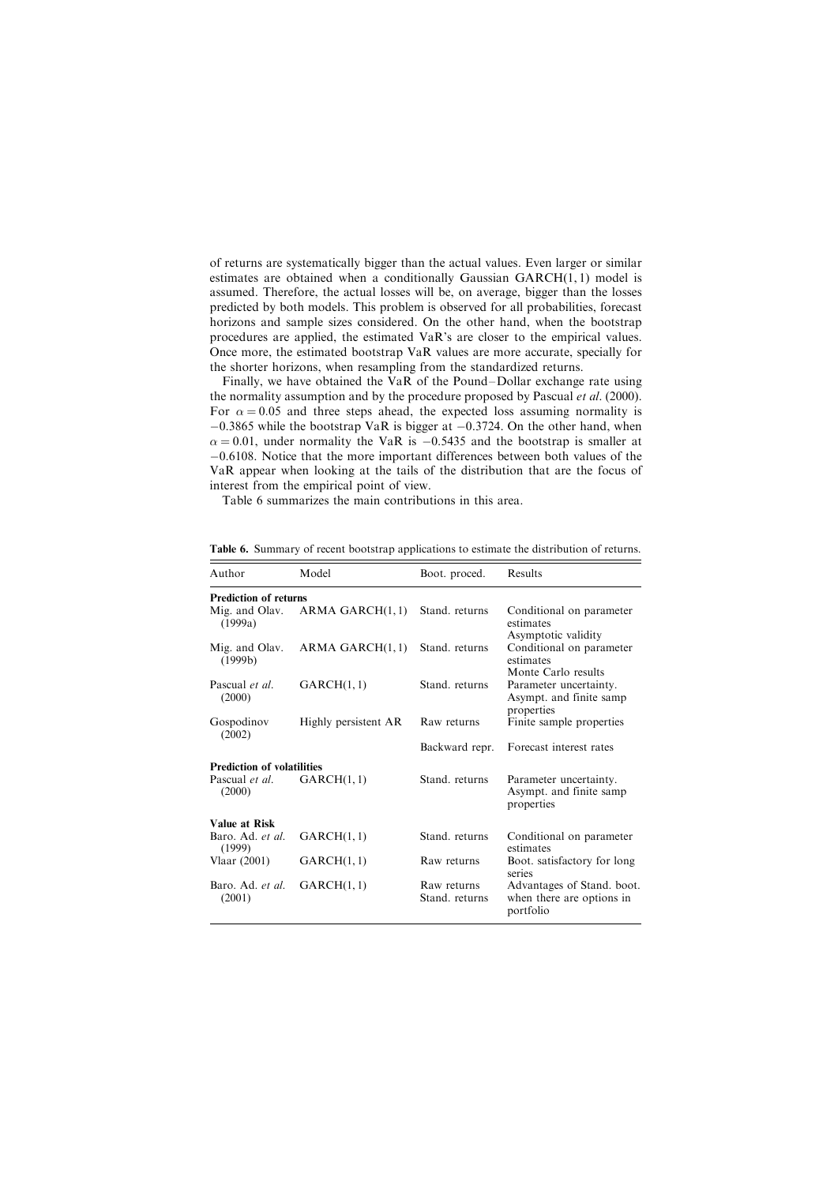of returns are systematically bigger than the actual values. Even larger or similar estimates are obtained when a conditionally Gaussian GARCH(1, 1) model is assumed. Therefore, the actual losses will be, on average, bigger than the losses predicted by both models. This problem is observed for all probabilities, forecast horizons and sample sizes considered. On the other hand, when the bootstrap procedures are applied, the estimated VaR's are closer to the empirical values. Once more, the estimated bootstrap VaR values are more accurate, specially for the shorter horizons, when resampling from the standardized returns.

Finally, we have obtained the VaR of the Pound-Dollar exchange rate using the normality assumption and by the procedure proposed by Pascual *et al.* (2000). For  $\alpha = 0.05$  and three steps ahead, the expected loss assuming normality is  $-0.3865$  while the bootstrap VaR is bigger at  $-0.3724$ . On the other hand, when  $\alpha = 0.01$ , under normality the VaR is  $-0.5435$  and the bootstrap is smaller at -0.6108. Notice that the more important differences between both values of the VaR appear when looking at the tails of the distribution that are the focus of interest from the empirical point of view.

Table 6 summarizes the main contributions in this area.

| Author                            | Model                | Boot. proced.                 | Results                                                              |
|-----------------------------------|----------------------|-------------------------------|----------------------------------------------------------------------|
| <b>Prediction of returns</b>      |                      |                               |                                                                      |
| Mig. and Olav.<br>(1999a)         | ARMA GARCH(1, 1)     | Stand, returns                | Conditional on parameter<br>estimates<br>Asymptotic validity         |
| Mig. and Olav.<br>(1999b)         | ARMA GARCH(1, 1)     | Stand. returns                | Conditional on parameter<br>estimates<br>Monte Carlo results         |
| Pascual et al.<br>(2000)          | GARCH(1, 1)          | Stand. returns                | Parameter uncertainty.<br>Asympt. and finite samp<br>properties      |
| Gospodinov<br>(2002)              | Highly persistent AR | Raw returns                   | Finite sample properties                                             |
|                                   |                      | Backward repr.                | Forecast interest rates                                              |
| <b>Prediction of volatilities</b> |                      |                               |                                                                      |
| Pascual et al.<br>(2000)          | GARCH(1, 1)          | Stand, returns                | Parameter uncertainty.<br>Asympt. and finite samp<br>properties      |
| Value at Risk                     |                      |                               |                                                                      |
| Baro. Ad. et al.<br>(1999)        | GARCH(1, 1)          | Stand, returns                | Conditional on parameter<br>estimates                                |
| Vlaar (2001)                      | GARCH(1, 1)          | Raw returns                   | Boot. satisfactory for long<br>series                                |
| Baro. Ad. et al.<br>(2001)        | GARCH(1, 1)          | Raw returns<br>Stand, returns | Advantages of Stand. boot.<br>when there are options in<br>portfolio |

Table 6. Summary of recent bootstrap applications to estimate the distribution of returns.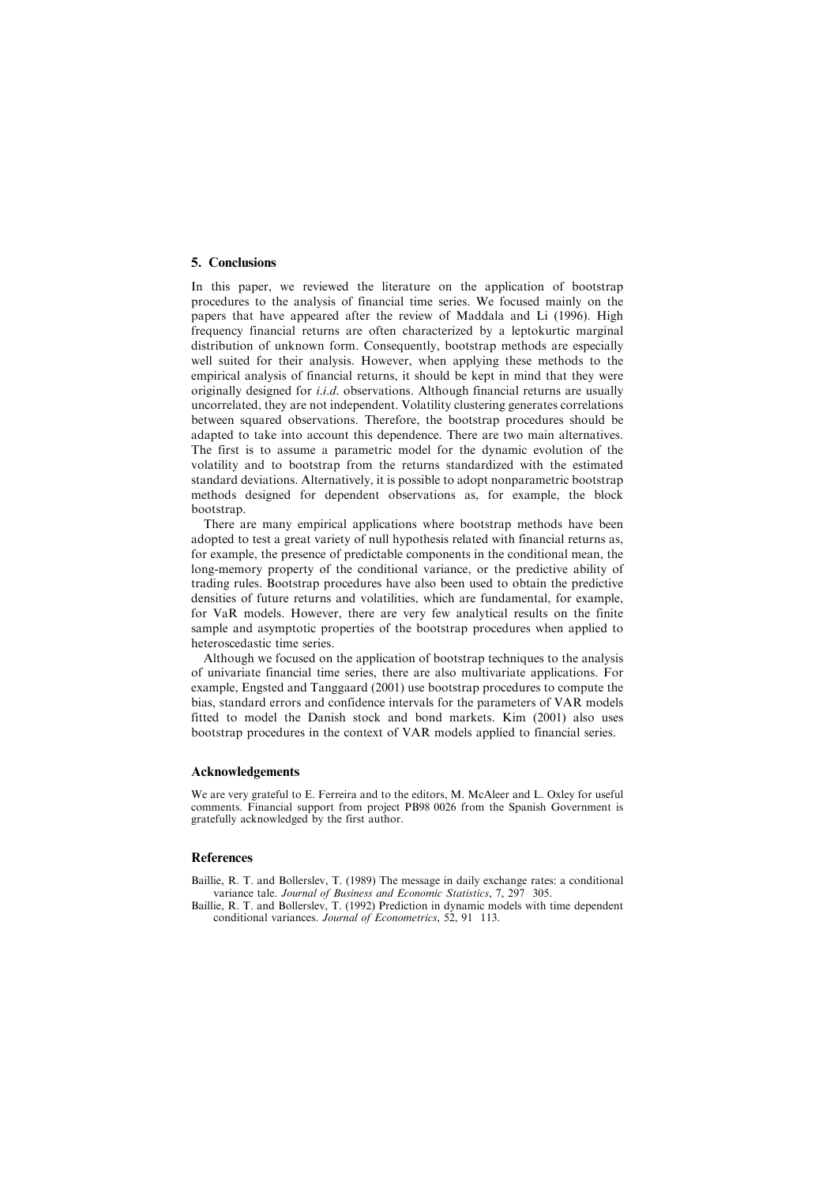## 5. Conclusions

In this paper, we reviewed the literature on the application of bootstrap procedures to the analysis of financial time series. We focused mainly on the papers that have appeared after the review of Maddala and Li (1996). High frequency financial returns are often characterized by a leptokurtic marginal distribution of unknown form. Consequently, bootstrap methods are especially well suited for their analysis. However, when applying these methods to the empirical analysis of financial returns, it should be kept in mind that they were originally designed for i.i.d. observations. Although financial returns are usually uncorrelated, they are not independent. Volatility clustering generates correlations between squared observations. Therefore, the bootstrap procedures should be adapted to take into account this dependence. There are two main alternatives. The first is to assume a parametric model for the dynamic evolution of the volatility and to bootstrap from the returns standardized with the estimated standard deviations. Alternatively, it is possible to adopt nonparametric bootstrap methods designed for dependent observations as, for example, the block bootstrap.

There are many empirical applications where bootstrap methods have been adopted to test a great variety of null hypothesis related with financial returns as, for example, the presence of predictable components in the conditional mean, the long-memory property of the conditional variance, or the predictive ability of trading rules. Bootstrap procedures have also been used to obtain the predictive densities of future returns and volatilities, which are fundamental, for example, for VaR models. However, there are very few analytical results on the finite sample and asymptotic properties of the bootstrap procedures when applied to heteroscedastic time series.

Although we focused on the application of bootstrap techniques to the analysis of univariate financial time series, there are also multivariate applications. For example, Engsted and Tanggaard (2001) use bootstrap procedures to compute the bias, standard errors and confidence intervals for the parameters of VAR models fitted to model the Danish stock and bond markets. Kim (2001) also uses bootstrap procedures in the context of VAR models applied to financial series.

## Acknowledgements

We are very grateful to E. Ferreira and to the editors, M. McAleer and L. Oxley for useful comments. Financial support from project PB98 0026 from the Spanish Government is gratefully acknowledged by the first author.

### **References**

- Baillie, R. T. and Bollerslev, T. (1989) The message in daily exchange rates: a conditional variance tale. Journal of Business and Economic Statistics, 7, 297 305.
- Baillie, R. T. and Bollerslev, T. (1992) Prediction in dynamic models with time dependent conditional variances. Journal of Econometrics, 52, 91 113.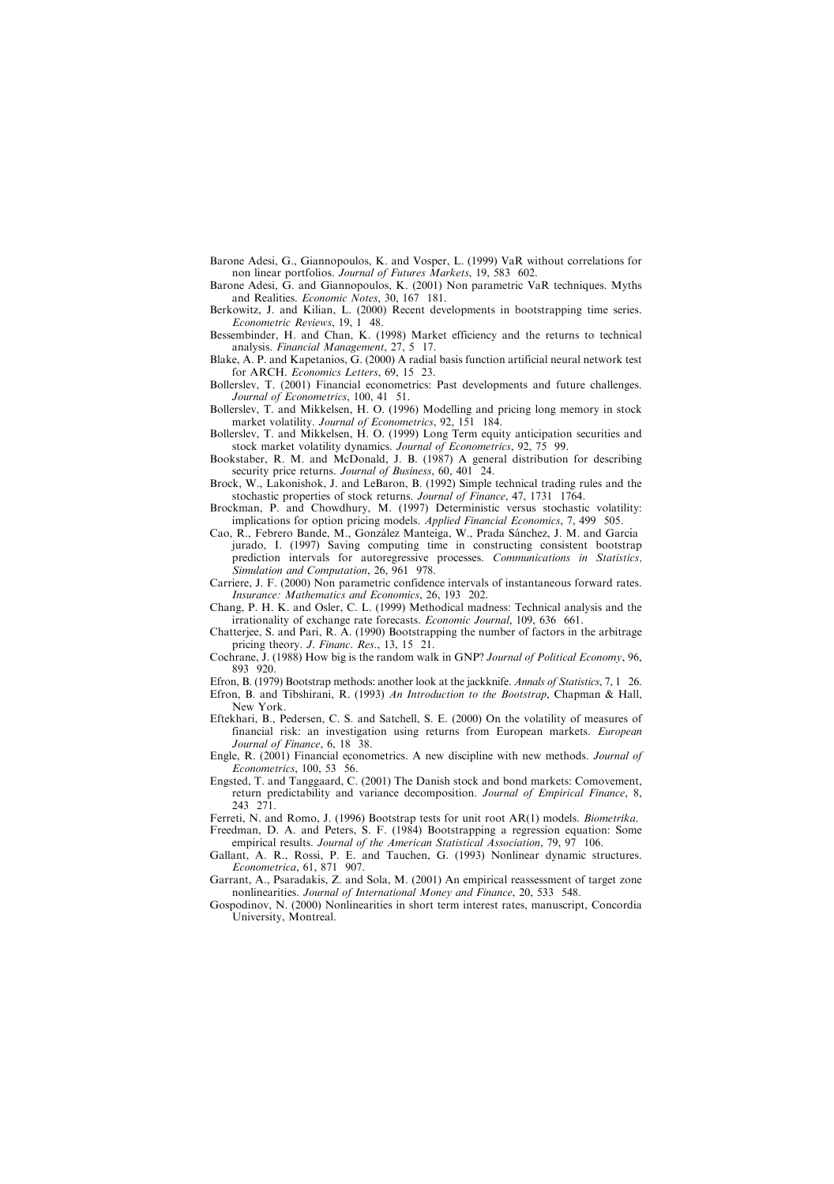- Barone Adesi, G., Giannopoulos, K. and Vosper, L. (1999) VaR without correlations for non linear portfolios. Journal of Futures Markets, 19, 583 602.
- Barone Adesi, G. and Giannopoulos, K. (2001) Non parametric VaR techniques. Myths and Realities. Economic Notes, 30, 167 181.
- Berkowitz, J. and Kilian, L. (2000) Recent developments in bootstrapping time series. Econometric Reviews, 19, 1 48.
- Bessembinder, H. and Chan, K. (1998) Market efficiency and the returns to technical analysis. Financial Management, 27, 5 17.
- Blake, A. P. and Kapetanios, G. (2000) A radial basis function artificial neural network test for ARCH. Economics Letters, 69, 15 23.
- Bollerslev, T. (2001) Financial econometrics: Past developments and future challenges. Journal of Econometrics, 100, 41 51.
- Bollerslev, T. and Mikkelsen, H. O. (1996) Modelling and pricing long memory in stock market volatility. Journal of Econometrics, 92, 151 184.
- Bollerslev, T. and Mikkelsen, H. O. (1999) Long Term equity anticipation securities and stock market volatility dynamics. Journal of Econometrics, 92, 75 99.
- Bookstaber, R. M. and McDonald, J. B. (1987) A general distribution for describing security price returns. Journal of Business, 60, 401 24.
- Brock, W., Lakonishok, J. and LeBaron, B. (1992) Simple technical trading rules and the stochastic properties of stock returns. Journal of Finance, 47, 1731 1764.
- Brockman, P. and Chowdhury, M. (1997) Deterministic versus stochastic volatility: implications for option pricing models. *Applied Financial Economics*, 7, 499 505.
- Cao, R., Febrero Bande, M., González Manteiga, W., Prada Sánchez, J. M. and García jurado, I. (1997) Saving computing time in constructing consistent bootstrap prediction intervals for autoregressive processes. Communications in Statistics, Simulation and Computation, 26, 961 978.
- Carriere, J. F. (2000) Non parametric confidence intervals of instantaneous forward rates. Insurance: Mathematics and Economics, 26, 193 202.
- Chang, P. H. K. and Osler, C. L. (1999) Methodical madness: Technical analysis and the irrationality of exchange rate forecasts. Economic Journal, 109, 636 661.
- Chatterjee, S. and Pari, R. A. (1990) Bootstrapping the number of factors in the arbitrage pricing theory. *J. Financ. Res.*, 13, 15 21.
- Cochrane, J. (1988) How big is the random walk in GNP? Journal of Political Economy, 96, 893 920.
- Efron, B. (1979) Bootstrap methods: another look at the jackknife. Annals of Statistics, 7, 1 26.
- Efron, B. and Tibshirani, R. (1993) An Introduction to the Bootstrap, Chapman & Hall, New York.
- Eftekhari, B., Pedersen, C. S. and Satchell, S. E. (2000) On the volatility of measures of financial risk: an investigation using returns from European markets. European Journal of Finance, 6, 18 38.
- Engle, R. (2001) Financial econometrics. A new discipline with new methods. Journal of Econometrics, 100, 53 56.
- Engsted, T. and Tanggaard, C. (2001) The Danish stock and bond markets: Comovement, return predictability and variance decomposition. Journal of Empirical Finance, 8, 243 271.
- Ferreti, N. and Romo, J. (1996) Bootstrap tests for unit root AR(1) models. Biometrika.
- Freedman, D. A. and Peters, S. F. (1984) Bootstrapping a regression equation: Some empirical results. Journal of the American Statistical Association, 79, 97 106.
- Gallant, A. R., Rossi, P. E. and Tauchen, G. (1993) Nonlinear dynamic structures. Econometrica, 61, 871 907.
- Garrant, A., Psaradakis, Z. and Sola, M. (2001) An empirical reassessment of target zone nonlinearities. Journal of International Money and Finance, 20, 533 548.
- Gospodinov, N. (2000) Nonlinearities in short term interest rates, manuscript, Concordia University, Montreal.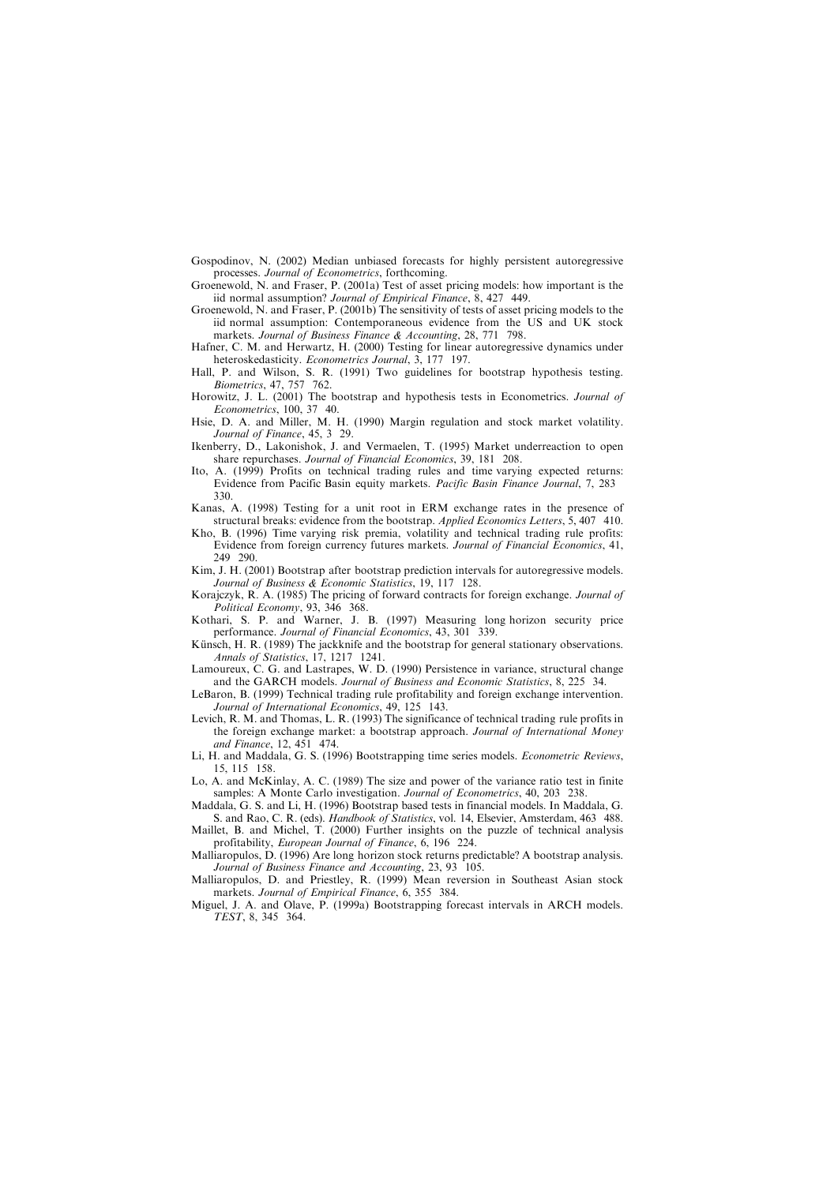- Gospodinov, N. (2002) Median unbiased forecasts for highly persistent autoregressive processes. Journal of Econometrics, forthcoming.
- Groenewold, N. and Fraser, P. (2001a) Test of asset pricing models: how important is the iid normal assumption? Journal of Empirical Finance, 8, 427 449.
- Groenewold, N. and Fraser, P. (2001b) The sensitivity of tests of asset pricing models to the iid normal assumption: Contemporaneous evidence from the US and UK stock markets. Journal of Business Finance & Accounting, 28, 771 798.
- Hafner, C. M. and Herwartz, H. (2000) Testing for linear autoregressive dynamics under heteroskedasticity. Econometrics Journal, 3, 177 197.
- Hall, P. and Wilson, S. R. (1991) Two guidelines for bootstrap hypothesis testing. Biometrics, 47, 757 762.
- Horowitz, J. L. (2001) The bootstrap and hypothesis tests in Econometrics. *Journal of* Econometrics, 100, 37 40.
- Hsie, D. A. and Miller, M. H. (1990) Margin regulation and stock market volatility. Journal of Finance, 45, 3 29.
- Ikenberry, D., Lakonishok, J. and Vermaelen, T. (1995) Market underreaction to open share repurchases. Journal of Financial Economics, 39, 181 208.
- Ito, A. (1999) Profits on technical trading rules and time varying expected returns: Evidence from Pacific Basin equity markets. Pacific Basin Finance Journal, 7, 283 330.
- Kanas, A. (1998) Testing for a unit root in ERM exchange rates in the presence of structural breaks: evidence from the bootstrap. Applied Economics Letters, 5, 407 410.
- Kho, B. (1996) Time varying risk premia, volatility and technical trading rule profits: Evidence from foreign currency futures markets. Journal of Financial Economics, 41, 249 290.
- Kim, J. H. (2001) Bootstrap after bootstrap prediction intervals for autoregressive models. Journal of Business & Economic Statistics, 19, 117 128.
- Korajczyk, R. A. (1985) The pricing of forward contracts for foreign exchange. Journal of Political Economy, 93, 346 368.
- Kothari, S. P. and Warner, J. B. (1997) Measuring long horizon security price performance. Journal of Financial Economics, 43, 301 339.
- Künsch, H. R. (1989) The jackknife and the bootstrap for general stationary observations. Annals of Statistics, 17, 1217 1241.
- Lamoureux, C. G. and Lastrapes, W. D. (1990) Persistence in variance, structural change and the GARCH models. Journal of Business and Economic Statistics, 8, 225 34.
- LeBaron, B. (1999) Technical trading rule profitability and foreign exchange intervention. Journal of International Economics, 49, 125 143.
- Levich, R. M. and Thomas, L. R. (1993) The significance of technical trading rule profits in the foreign exchange market: a bootstrap approach. Journal of International Money and Finance, 12, 451 474.
- Li, H. and Maddala, G. S. (1996) Bootstrapping time series models. *Econometric Reviews*, 15, 115 158.
- Lo, A. and McKinlay, A. C. (1989) The size and power of the variance ratio test in finite samples: A Monte Carlo investigation. Journal of Econometrics, 40, 203 238.
- Maddala, G. S. and Li, H. (1996) Bootstrap based tests in financial models. In Maddala, G. S. and Rao, C. R. (eds). *Handbook of Statistics*, vol. 14, Elsevier, Amsterdam, 463 488.
- Maillet, B. and Michel, T. (2000) Further insights on the puzzle of technical analysis profitability, European Journal of Finance, 6, 196 224.
- Malliaropulos, D. (1996) Are long horizon stock returns predictable? A bootstrap analysis. Journal of Business Finance and Accounting, 23, 93 105.
- Malliaropulos, D. and Priestley, R. (1999) Mean reversion in Southeast Asian stock markets. Journal of Empirical Finance, 6, 355 384.
- Miguel, J. A. and Olave, P. (1999a) Bootstrapping forecast intervals in ARCH models. TEST, 8, 345 364.